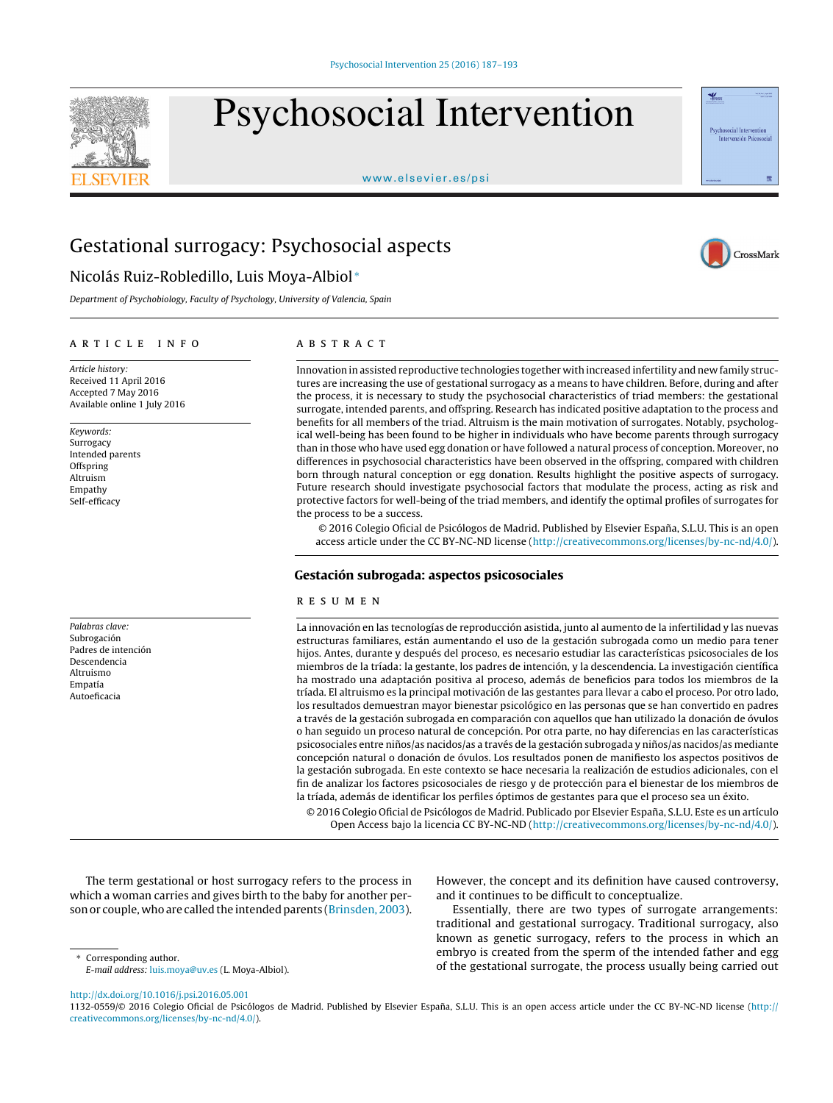

Psychosocial Intervention



CrossMark

<www.elsevier.es/psi>

# Gestational surrogacy: Psychosocial aspects

# Nicolás Ruiz-Robledillo, Luis Moya-Albiol <sup>∗</sup>

Department of Psychobiology, Faculty of Psychology, University of Valencia, Spain

# a r t i c l e i n f o

Article history: Received 11 April 2016 Accepted 7 May 2016 Available online 1 July 2016

Keywords: Surrogacy Intended parents **Offspring** Altruism Empathy Self-efficacy

Palabras clave: Subrogación Padres de intención Descendencia Altruismo Empatía Autoeficacia

# A B S T R A C T

Innovation in assisted reproductive technologies together with increased infertility and new family structures are increasing the use of gestational surrogacy as a means to have children. Before, during and after the process, it is necessary to study the psychosocial characteristics of triad members: the gestational surrogate, intended parents, and offspring. Research has indicated positive adaptation to the process and benefits for all members of the triad. Altruism is the main motivation of surrogates. Notably, psychological well-being has been found to be higher in individuals who have become parents through surrogacy than in those who have used egg donation or have followed a natural process of conception. Moreover, no differences in psychosocial characteristics have been observed in the offspring, compared with children born through natural conception or egg donation. Results highlight the positive aspects of surrogacy. Future research should investigate psychosocial factors that modulate the process, acting as risk and protective factors for well-being of the triad members, and identify the optimal profiles of surrogates for the process to be a success.

© 2016 Colegio Oficial de Psicólogos de Madrid. Published by Elsevier España, S.L.U. This is an open access article under the CC BY-NC-ND license [\(http://creativecommons.org/licenses/by-nc-nd/4.0/](http://creativecommons.org/licenses/by-nc-nd/4.0/)).

# **Gestación subrogada: aspectos psicosociales**

# r e s u m e n

La innovación en las tecnologías de reproducción asistida, junto al aumento de la infertilidad y las nuevas estructuras familiares, están aumentando el uso de la gestación subrogada como un medio para tener hijos. Antes, durante y después del proceso, es necesario estudiar las características psicosociales de los miembros de la tríada: la gestante, los padres de intención, y la descendencia. La investigación científica ha mostrado una adaptación positiva al proceso, además de beneficios para todos los miembros de la tríada. El altruismo es la principal motivación de las gestantes para llevar a cabo el proceso. Por otro lado, los resultados demuestran mayor bienestar psicológico en las personas que se han convertido en padres a través de la gestación subrogada en comparación con aquellos que han utilizado la donación de óvulos o han seguido un proceso natural de concepción. Por otra parte, no hay diferencias en las características psicosociales entre niños/as nacidos/as a través de la gestación subrogada y niños/as nacidos/as mediante concepción natural o donación de óvulos. Los resultados ponen de manifiesto los aspectos positivos de la gestación subrogada. En este contexto se hace necesaria la realización de estudios adicionales, con el fin de analizar los factores psicosociales de riesgo y de protección para el bienestar de los miembros de la tríada, además de identificar los perfiles óptimos de gestantes para que el proceso sea un éxito.

© 2016 Colegio Oficial de Psicólogos de Madrid. Publicado por Elsevier España, S.L.U. Este es un artículo Open Access bajo la licencia CC BY-NC-ND [\(http://creativecommons.org/licenses/by-nc-nd/4.0/](http://creativecommons.org/licenses/by-nc-nd/4.0/)).

The term gestational or host surrogacy refers to the process in which a woman carries and gives birth to the baby for another person or couple, who are called the intended parents ([Brinsden,](#page-5-0) [2003\).](#page-5-0)

Corresponding author.

E-mail address: [luis.moya@uv.es](mailto:luis.moya@uv.es) (L. Moya-Albiol).

However, the concept and its definition have caused controversy, and it continues to be difficult to conceptualize.

Essentially, there are two types of surrogate arrangements: traditional and gestational surrogacy. Traditional surrogacy, also known as genetic surrogacy, refers to the process in which an embryo is created from the sperm of the intended father and egg of the gestational surrogate, the process usually being carried out

[http://dx.doi.org/10.1016/j.psi.2016.05.001](dx.doi.org/10.1016/j.psi.2016.05.001)

1132-0559/© 2016 Colegio Oficial de Psicólogos de Madrid. Published by Elsevier España, S.L.U. This is an open access article under the CC BY-NC-ND license ([http://](http://creativecommons.org/licenses/by-nc-nd/4.0/) [creativecommons.org/licenses/by-nc-nd/4.0/](http://creativecommons.org/licenses/by-nc-nd/4.0/)).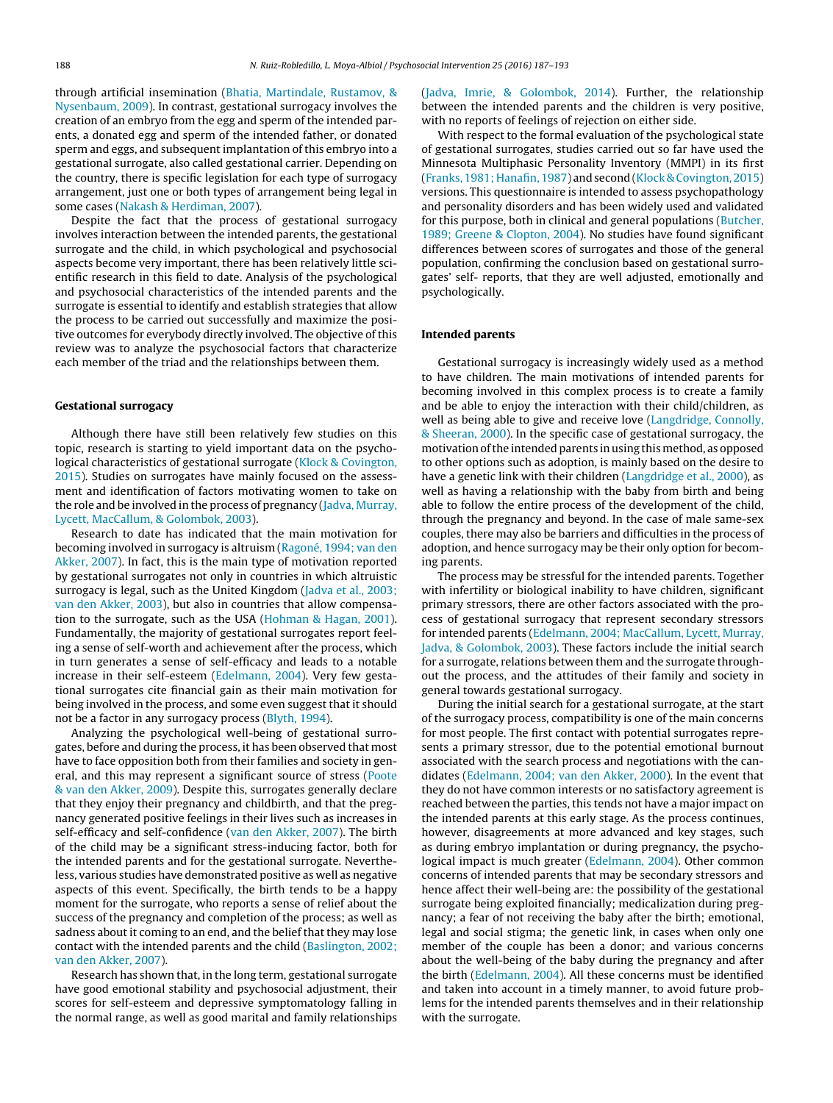through artificial insemination ([Bhatia,](#page-5-0) [Martindale,](#page-5-0) [Rustamov,](#page-5-0) [&](#page-5-0) [Nysenbaum,](#page-5-0) [2009\).](#page-5-0) In contrast, gestational surrogacy involves the creation of an embryo from the egg and sperm of the intended parents, a donated egg and sperm of the intended father, or donated sperm and eggs, and subsequent implantation of this embryo into a gestational surrogate, also called gestational carrier. Depending on the country, there is specific legislation for each type of surrogacy arrangement, just one or both types of arrangement being legal in some cases ([Nakash](#page-6-0) [&](#page-6-0) [Herdiman,](#page-6-0) [2007\).](#page-6-0)

Despite the fact that the process of gestational surrogacy involves interaction between the intended parents, the gestational surrogate and the child, in which psychological and psychosocial aspects become very important, there has been relatively little scientific research in this field to date. Analysis of the psychological and psychosocial characteristics of the intended parents and the surrogate is essential to identify and establish strategies that allow the process to be carried out successfully and maximize the positive outcomes for everybody directly involved. The objective of this review was to analyze the psychosocial factors that characterize each member of the triad and the relationships between them.

#### **Gestational surrogacy**

Although there have still been relatively few studies on this topic, research is starting to yield important data on the psycho-logical characteristics of gestational surrogate [\(Klock](#page-5-0) [&](#page-5-0) [Covington,](#page-5-0) [2015\).](#page-5-0) Studies on surrogates have mainly focused on the assessment and identification of factors motivating women to take on the role and be involved in the process of pregnancy [\(Jadva,](#page-5-0) [Murray,](#page-5-0) [Lycett,](#page-5-0) [MacCallum,](#page-5-0) [&](#page-5-0) [Golombok,](#page-5-0) [2003\).](#page-5-0)

Research to date has indicated that the main motivation for becoming involved in surrogacy is altruism [\(Ragoné,](#page-6-0) [1994;](#page-6-0) [van](#page-6-0) [den](#page-6-0) [Akker,](#page-6-0) [2007\).](#page-6-0) In fact, this is the main type of motivation reported by gestational surrogates not only in countries in which altruistic surrogacy is legal, such as the United Kingdom ([Jadva](#page-5-0) et [al.,](#page-5-0) [2003;](#page-5-0) [van](#page-5-0) [den](#page-5-0) [Akker,](#page-5-0) [2003\),](#page-5-0) but also in countries that allow compensation to the surrogate, such as the USA ([Hohman](#page-5-0) [&](#page-5-0) [Hagan,](#page-5-0) [2001\).](#page-5-0) Fundamentally, the majority of gestational surrogates report feeling a sense of self-worth and achievement after the process, which in turn generates a sense of self-efficacy and leads to a notable increase in their self-esteem [\(Edelmann,](#page-5-0) [2004\).](#page-5-0) Very few gestational surrogates cite financial gain as their main motivation for being involved in the process, and some even suggest that it should not be a factor in any surrogacy process ([Blyth,](#page-5-0) [1994\).](#page-5-0)

Analyzing the psychological well-being of gestational surrogates, before and during the process, it has been observed that most have to face opposition both from their families and society in general, and this may represent a significant source of stress ([Poote](#page-6-0) [&](#page-6-0) [van](#page-6-0) [den](#page-6-0) [Akker,](#page-6-0) [2009\).](#page-6-0) Despite this, surrogates generally declare that they enjoy their pregnancy and childbirth, and that the pregnancy generated positive feelings in their lives such as increases in self-efficacy and self-confidence [\(van](#page-6-0) [den](#page-6-0) [Akker,](#page-6-0) [2007\).](#page-6-0) The birth of the child may be a significant stress-inducing factor, both for the intended parents and for the gestational surrogate. Nevertheless, various studies have demonstrated positive as well as negative aspects of this event. Specifically, the birth tends to be a happy moment for the surrogate, who reports a sense of relief about the success of the pregnancy and completion of the process; as well as sadness about it coming to an end, and the belief that they may lose contact with the intended parents and the child [\(Baslington,](#page-5-0) [2002;](#page-5-0) [van](#page-5-0) [den](#page-5-0) [Akker,](#page-5-0) [2007\).](#page-5-0)

Research has shown that, in the long term, gestational surrogate have good emotional stability and psychosocial adjustment, their scores for self-esteem and depressive symptomatology falling in the normal range, as well as good marital and family relationships [\(Jadva,](#page-5-0) [Imrie,](#page-5-0) [&](#page-5-0) [Golombok,](#page-5-0) [2014\).](#page-5-0) Further, the relationship between the intended parents and the children is very positive, with no reports of feelings of rejection on either side.

With respect to the formal evaluation of the psychological state of gestational surrogates, studies carried out so far have used the Minnesota Multiphasic Personality Inventory (MMPI) in its first [\(Franks,](#page-5-0) 1981; Hanafin, [1987\)](#page-5-0) and second [\(Klock](#page-5-0) [&](#page-5-0) [Covington,](#page-5-0) [2015\)](#page-5-0) versions. This questionnaire is intended to assess psychopathology and personality disorders and has been widely used and validated for this purpose, both in clinical and general populations [\(Butcher,](#page-5-0) [1989;](#page-5-0) [Greene](#page-5-0) [&](#page-5-0) [Clopton,](#page-5-0) [2004\).](#page-5-0) No studies have found significant differences between scores of surrogates and those of the general population, confirming the conclusion based on gestational surrogates' self- reports, that they are well adjusted, emotionally and psychologically.

### **Intended parents**

Gestational surrogacy is increasingly widely used as a method to have children. The main motivations of intended parents for becoming involved in this complex process is to create a family and be able to enjoy the interaction with their child/children, as well as being able to give and receive love [\(Langdridge,](#page-6-0) [Connolly,](#page-6-0) [&](#page-6-0) [Sheeran,](#page-6-0) [2000\).](#page-6-0) In the specific case of gestational surrogacy, the motivation of the intended parents in using this method, as opposed to other options such as adoption, is mainly based on the desire to have a genetic link with their children ([Langdridge](#page-6-0) et [al.,](#page-6-0) [2000\),](#page-6-0) as well as having a relationship with the baby from birth and being able to follow the entire process of the development of the child, through the pregnancy and beyond. In the case of male same-sex couples, there may also be barriers and difficulties in the process of adoption, and hence surrogacy may be their only option for becoming parents.

The process may be stressful for the intended parents. Together with infertility or biological inability to have children, significant primary stressors, there are other factors associated with the process of gestational surrogacy that represent secondary stressors for intended parents [\(Edelmann,](#page-5-0) [2004;](#page-5-0) [MacCallum,](#page-5-0) [Lycett,](#page-5-0) [Murray,](#page-5-0) [Jadva,](#page-5-0) [&](#page-5-0) [Golombok,](#page-5-0) [2003\).](#page-5-0) These factors include the initial search for a surrogate, relations between them and the surrogate throughout the process, and the attitudes of their family and society in general towards gestational surrogacy.

During the initial search for a gestational surrogate, at the start of the surrogacy process, compatibility is one of the main concerns for most people. The first contact with potential surrogates represents a primary stressor, due to the potential emotional burnout associated with the search process and negotiations with the candidates ([Edelmann,](#page-5-0) [2004;](#page-5-0) [van](#page-5-0) [den](#page-5-0) [Akker,](#page-5-0) [2000\).](#page-5-0) In the event that they do not have common interests or no satisfactory agreement is reached between the parties, this tends not have a major impact on the intended parents at this early stage. As the process continues, however, disagreements at more advanced and key stages, such as during embryo implantation or during pregnancy, the psychological impact is much greater ([Edelmann,](#page-5-0) [2004\).](#page-5-0) Other common concerns of intended parents that may be secondary stressors and hence affect their well-being are: the possibility of the gestational surrogate being exploited financially; medicalization during pregnancy; a fear of not receiving the baby after the birth; emotional, legal and social stigma; the genetic link, in cases when only one member of the couple has been a donor; and various concerns about the well-being of the baby during the pregnancy and after the birth ([Edelmann,](#page-5-0) [2004\).](#page-5-0) All these concerns must be identified and taken into account in a timely manner, to avoid future problems for the intended parents themselves and in their relationship with the surrogate.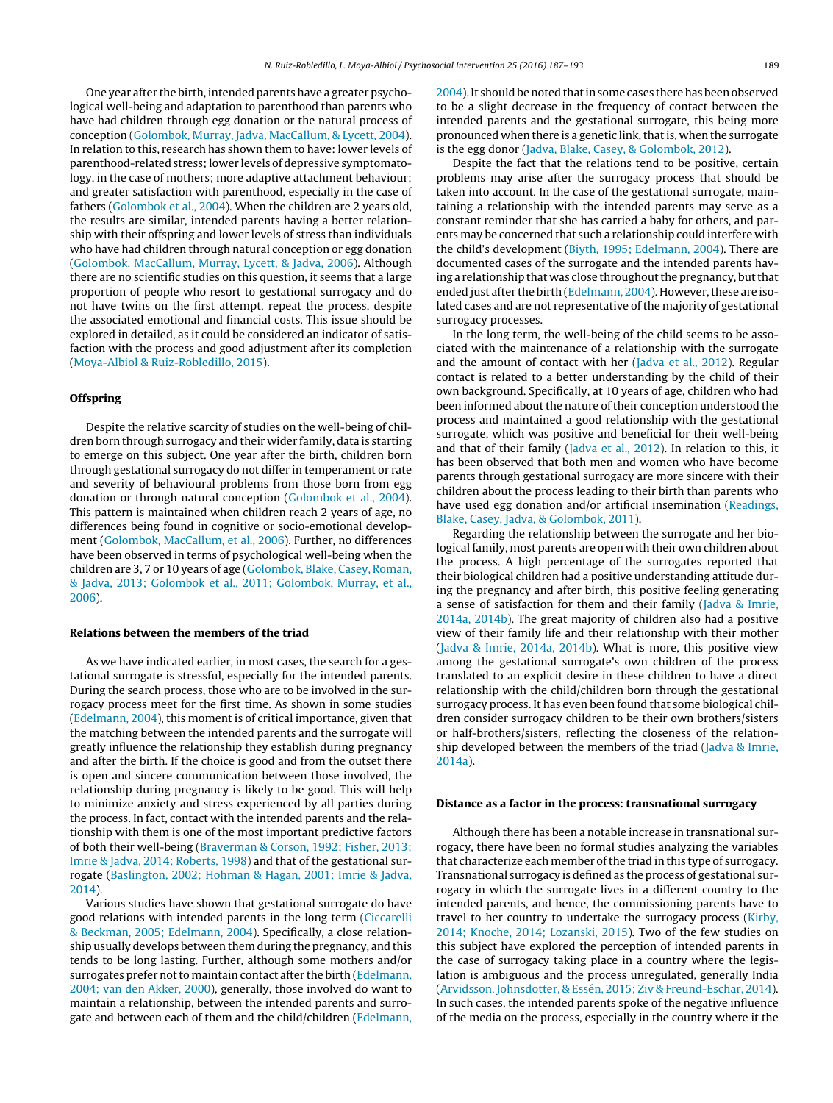One year after the birth, intended parents have a greater psychological well-being and adaptation to parenthood than parents who have had children through egg donation or the natural process of conception ([Golombok,](#page-5-0) [Murray,](#page-5-0) [Jadva,](#page-5-0) [MacCallum,](#page-5-0) [&](#page-5-0) [Lycett,](#page-5-0) [2004\).](#page-5-0) In relation to this, research has shown them to have: lower levels of parenthood-related stress;lower levels of depressive symptomatology, in the case of mothers; more adaptive attachment behaviour; and greater satisfaction with parenthood, especially in the case of fathers [\(Golombok](#page-5-0) et [al.,](#page-5-0) [2004\).](#page-5-0) When the children are 2 years old, the results are similar, intended parents having a better relationship with their offspring and lower levels of stress than individuals who have had children through natural conception or egg donation ([Golombok,](#page-5-0) [MacCallum,](#page-5-0) [Murray,](#page-5-0) [Lycett,](#page-5-0) [&](#page-5-0) [Jadva,](#page-5-0) [2006\).](#page-5-0) Although there are no scientific studies on this question, it seems that a large proportion of people who resort to gestational surrogacy and do not have twins on the first attempt, repeat the process, despite the associated emotional and financial costs. This issue should be explored in detailed, as it could be considered an indicator of satisfaction with the process and good adjustment after its completion ([Moya-Albiol](#page-6-0) [&](#page-6-0) [Ruiz-Robledillo,](#page-6-0) [2015\).](#page-6-0)

# **Offspring**

Despite the relative scarcity of studies on the well-being of children born through surrogacy and their wider family, data is starting to emerge on this subject. One year after the birth, children born through gestational surrogacy do not differ in temperament or rate and severity of behavioural problems from those born from egg donation or through natural conception ([Golombok](#page-5-0) et [al.,](#page-5-0) [2004\).](#page-5-0) This pattern is maintained when children reach 2 years of age, no differences being found in cognitive or socio-emotional development [\(Golombok,](#page-5-0) [MacCallum,](#page-5-0) et [al.,](#page-5-0) [2006\).](#page-5-0) Further, no differences have been observed in terms of psychological well-being when the children are 3, 7 or 10 years of age [\(Golombok,](#page-5-0) [Blake,](#page-5-0) [Casey,](#page-5-0) [Roman,](#page-5-0) [&](#page-5-0) [Jadva,](#page-5-0) [2013;](#page-5-0) [Golombok](#page-5-0) et [al.,](#page-5-0) [2011;](#page-5-0) [Golombok,](#page-5-0) [Murray,](#page-5-0) et [al.,](#page-5-0) [2006\).](#page-5-0)

#### **Relations between the members of the triad**

As we have indicated earlier, in most cases, the search for a gestational surrogate is stressful, especially for the intended parents. During the search process, those who are to be involved in the surrogacy process meet for the first time. As shown in some studies ([Edelmann,](#page-5-0) [2004\),](#page-5-0) this moment is of critical importance, given that the matching between the intended parents and the surrogate will greatly influence the relationship they establish during pregnancy and after the birth. If the choice is good and from the outset there is open and sincere communication between those involved, the relationship during pregnancy is likely to be good. This will help to minimize anxiety and stress experienced by all parties during the process. In fact, contact with the intended parents and the relationship with them is one of the most important predictive factors of both their well-being [\(Braverman](#page-5-0) [&](#page-5-0) [Corson,](#page-5-0) [1992;](#page-5-0) [Fisher,](#page-5-0) [2013;](#page-5-0) [Imrie](#page-5-0) [&](#page-5-0) [Jadva,](#page-5-0) [2014;](#page-5-0) [Roberts,](#page-5-0) [1998\)](#page-5-0) and that of the gestational surrogate ([Baslington,](#page-5-0) [2002;](#page-5-0) [Hohman](#page-5-0) [&](#page-5-0) [Hagan,](#page-5-0) [2001;](#page-5-0) [Imrie](#page-5-0) [&](#page-5-0) [Jadva,](#page-5-0) [2014\).](#page-5-0)

Various studies have shown that gestational surrogate do have good relations with intended parents in the long term [\(Ciccarelli](#page-5-0) [&](#page-5-0) [Beckman,](#page-5-0) [2005;](#page-5-0) [Edelmann,](#page-5-0) [2004\).](#page-5-0) Specifically, a close relationship usually develops between them during the pregnancy, and this tends to be long lasting. Further, although some mothers and/or surrogates prefer not to maintain contact after the birth ([Edelmann,](#page-5-0) [2004;](#page-5-0) [van](#page-5-0) [den](#page-5-0) [Akker,](#page-5-0) [2000\),](#page-5-0) generally, those involved do want to maintain a relationship, between the intended parents and surrogate and between each of them and the child/children ([Edelmann,](#page-5-0) [2004\).](#page-5-0) It should be noted that in some cases there has been observed to be a slight decrease in the frequency of contact between the intended parents and the gestational surrogate, this being more pronounced when there is a genetic link, that is, when the surrogate is the egg donor [\(Jadva,](#page-5-0) [Blake,](#page-5-0) [Casey,](#page-5-0) [&](#page-5-0) [Golombok,](#page-5-0) [2012\).](#page-5-0)

Despite the fact that the relations tend to be positive, certain problems may arise after the surrogacy process that should be taken into account. In the case of the gestational surrogate, maintaining a relationship with the intended parents may serve as a constant reminder that she has carried a baby for others, and parents may be concerned that such a relationship could interfere with the child's development ([Biyth,](#page-5-0) [1995;](#page-5-0) [Edelmann,](#page-5-0) [2004\).](#page-5-0) There are documented cases of the surrogate and the intended parents having a relationship that was close throughout the pregnancy, but that ended just after the birth [\(Edelmann,](#page-5-0) [2004\).](#page-5-0) However, these are isolated cases and are not representative of the majority of gestational surrogacy processes.

In the long term, the well-being of the child seems to be associated with the maintenance of a relationship with the surrogate and the amount of contact with her [\(Jadva](#page-5-0) et [al.,](#page-5-0) [2012\).](#page-5-0) Regular contact is related to a better understanding by the child of their own background. Specifically, at 10 years of age, children who had been informed about the nature of their conception understood the process and maintained a good relationship with the gestational surrogate, which was positive and beneficial for their well-being and that of their family [\(Jadva](#page-5-0) et [al.,](#page-5-0) [2012\).](#page-5-0) In relation to this, it has been observed that both men and women who have become parents through gestational surrogacy are more sincere with their children about the process leading to their birth than parents who have used egg donation and/or artificial insemination [\(Readings,](#page-6-0) [Blake,](#page-6-0) [Casey,](#page-6-0) [Jadva,](#page-6-0) [&](#page-6-0) [Golombok,](#page-6-0) [2011\).](#page-6-0)

Regarding the relationship between the surrogate and her biological family, most parents are open with their own children about the process. A high percentage of the surrogates reported that their biological children had a positive understanding attitude during the pregnancy and after birth, this positive feeling generating a sense of satisfaction for them and their family ([Jadva](#page-5-0) [&](#page-5-0) [Imrie,](#page-5-0) [2014a,](#page-5-0) [2014b\).](#page-5-0) The great majority of children also had a positive view of their family life and their relationship with their mother [\(Jadva](#page-5-0) [&](#page-5-0) [Imrie,](#page-5-0) [2014a,](#page-5-0) [2014b\).](#page-5-0) What is more, this positive view among the gestational surrogate's own children of the process translated to an explicit desire in these children to have a direct relationship with the child/children born through the gestational surrogacy process. It has even been found that some biological children consider surrogacy children to be their own brothers/sisters or half-brothers/sisters, reflecting the closeness of the relation-ship developed between the members of the triad [\(Jadva](#page-5-0) [&](#page-5-0) [Imrie,](#page-5-0) [2014a\).](#page-5-0)

#### **Distance as a factor in the process: transnational surrogacy**

Although there has been a notable increase in transnational surrogacy, there have been no formal studies analyzing the variables that characterize each member of the triad in this type of surrogacy. Transnational surrogacy is defined as the process of gestational surrogacy in which the surrogate lives in a different country to the intended parents, and hence, the commissioning parents have to travel to her country to undertake the surrogacy process [\(Kirby,](#page-5-0) [2014;](#page-5-0) [Knoche,](#page-5-0) [2014;](#page-5-0) [Lozanski,](#page-5-0) [2015\).](#page-5-0) Two of the few studies on this subject have explored the perception of intended parents in the case of surrogacy taking place in a country where the legislation is ambiguous and the process unregulated, generally India [\(Arvidsson,](#page-5-0) [Johnsdotter,](#page-5-0) [&](#page-5-0) [Essén,](#page-5-0) [2015;](#page-5-0) [Ziv](#page-5-0) [&](#page-5-0) [Freund-Eschar,](#page-5-0) [2014\).](#page-5-0) In such cases, the intended parents spoke of the negative influence of the media on the process, especially in the country where it the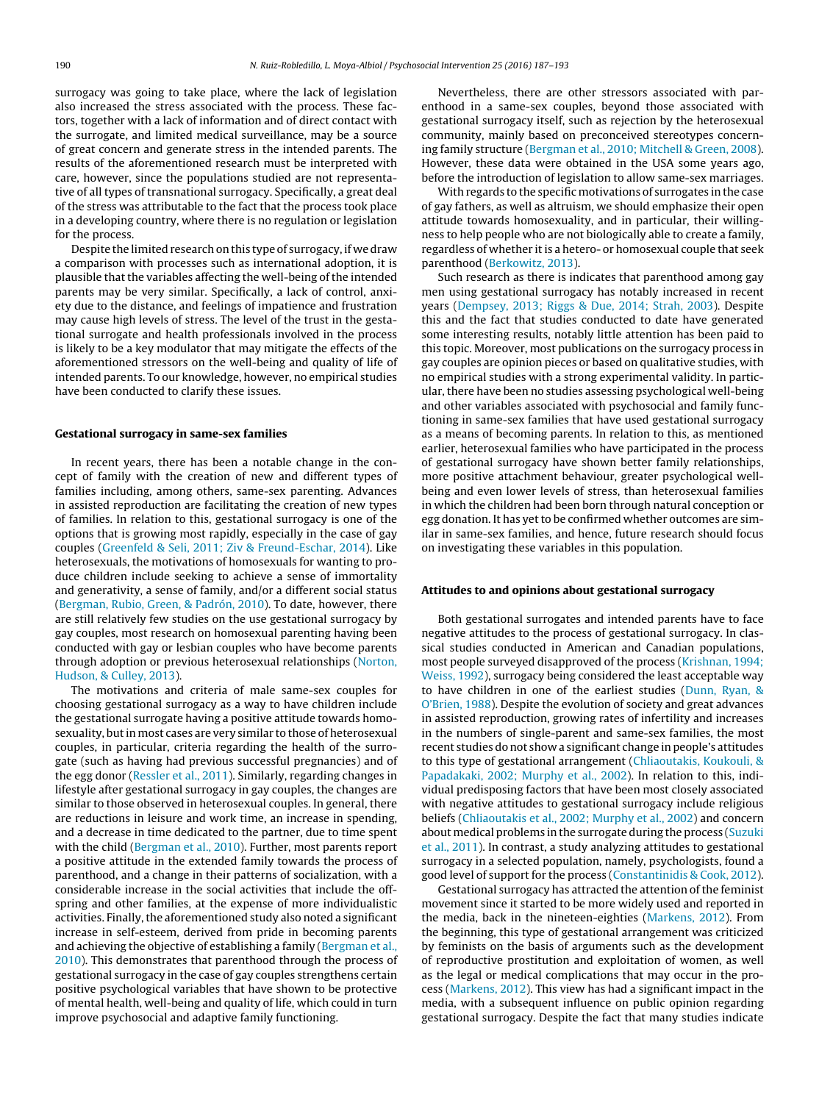surrogacy was going to take place, where the lack of legislation also increased the stress associated with the process. These factors, together with a lack of information and of direct contact with the surrogate, and limited medical surveillance, may be a source of great concern and generate stress in the intended parents. The results of the aforementioned research must be interpreted with care, however, since the populations studied are not representative of all types of transnational surrogacy. Specifically, a great deal of the stress was attributable to the fact that the process took place in a developing country, where there is no regulation or legislation for the process.

Despite the limited research on this type of surrogacy, if we draw a comparison with processes such as international adoption, it is plausible that the variables affecting the well-being of the intended parents may be very similar. Specifically, a lack of control, anxiety due to the distance, and feelings of impatience and frustration may cause high levels of stress. The level of the trust in the gestational surrogate and health professionals involved in the process is likely to be a key modulator that may mitigate the effects of the aforementioned stressors on the well-being and quality of life of intended parents. To our knowledge, however, no empirical studies have been conducted to clarify these issues.

#### **Gestational surrogacy in same-sex families**

In recent years, there has been a notable change in the concept of family with the creation of new and different types of families including, among others, same-sex parenting. Advances in assisted reproduction are facilitating the creation of new types of families. In relation to this, gestational surrogacy is one of the options that is growing most rapidly, especially in the case of gay couples ([Greenfeld](#page-5-0) [&](#page-5-0) [Seli,](#page-5-0) [2011;](#page-5-0) [Ziv](#page-5-0) [&](#page-5-0) [Freund-Eschar,](#page-5-0) [2014\).](#page-5-0) Like heterosexuals, the motivations of homosexuals for wanting to produce children include seeking to achieve a sense of immortality and generativity, a sense of family, and/or a different social status ([Bergman,](#page-5-0) [Rubio,](#page-5-0) [Green,](#page-5-0) [&](#page-5-0) [Padrón,](#page-5-0) [2010\).](#page-5-0) To date, however, there are still relatively few studies on the use gestational surrogacy by gay couples, most research on homosexual parenting having been conducted with gay or lesbian couples who have become parents through adoption or previous heterosexual relationships ([Norton,](#page-6-0) [Hudson,](#page-6-0) [&](#page-6-0) [Culley,](#page-6-0) [2013\).](#page-6-0)

The motivations and criteria of male same-sex couples for choosing gestational surrogacy as a way to have children include the gestational surrogate having a positive attitude towards homosexuality, but in most cases are very similar to those of heterosexual couples, in particular, criteria regarding the health of the surrogate (such as having had previous successful pregnancies) and of the egg donor [\(Ressler](#page-6-0) et [al.,](#page-6-0) [2011\).](#page-6-0) Similarly, regarding changes in lifestyle after gestational surrogacy in gay couples, the changes are similar to those observed in heterosexual couples. In general, there are reductions in leisure and work time, an increase in spending, and a decrease in time dedicated to the partner, due to time spent with the child [\(Bergman](#page-5-0) et [al.,](#page-5-0) [2010\).](#page-5-0) Further, most parents report a positive attitude in the extended family towards the process of parenthood, and a change in their patterns of socialization, with a considerable increase in the social activities that include the offspring and other families, at the expense of more individualistic activities. Finally, the aforementioned study also noted a significant increase in self-esteem, derived from pride in becoming parents and achieving the objective of establishing a family ([Bergman](#page-5-0) et [al.,](#page-5-0) [2010\).](#page-5-0) This demonstrates that parenthood through the process of gestational surrogacy in the case of gay couples strengthens certain positive psychological variables that have shown to be protective of mental health, well-being and quality of life, which could in turn improve psychosocial and adaptive family functioning.

Nevertheless, there are other stressors associated with parenthood in a same-sex couples, beyond those associated with gestational surrogacy itself, such as rejection by the heterosexual community, mainly based on preconceived stereotypes concerning family structure ([Bergman](#page-5-0) et [al.,](#page-5-0) [2010;](#page-5-0) [Mitchell](#page-5-0) [&](#page-5-0) [Green,](#page-5-0) [2008\).](#page-5-0) However, these data were obtained in the USA some years ago, before the introduction of legislation to allow same-sex marriages.

With regards to the specific motivations of surrogates in the case of gay fathers, as well as altruism, we should emphasize their open attitude towards homosexuality, and in particular, their willingness to help people who are not biologically able to create a family, regardless of whether it is a hetero- or homosexual couple that seek parenthood [\(Berkowitz,](#page-5-0) [2013\).](#page-5-0)

Such research as there is indicates that parenthood among gay men using gestational surrogacy has notably increased in recent years ([Dempsey,](#page-5-0) [2013;](#page-5-0) [Riggs](#page-5-0) [&](#page-5-0) [Due,](#page-5-0) [2014;](#page-5-0) [Strah,](#page-5-0) [2003\).](#page-5-0) Despite this and the fact that studies conducted to date have generated some interesting results, notably little attention has been paid to this topic. Moreover, most publications on the surrogacy process in gay couples are opinion pieces or based on qualitative studies, with no empirical studies with a strong experimental validity. In particular, there have been no studies assessing psychological well-being and other variables associated with psychosocial and family functioning in same-sex families that have used gestational surrogacy as a means of becoming parents. In relation to this, as mentioned earlier, heterosexual families who have participated in the process of gestational surrogacy have shown better family relationships, more positive attachment behaviour, greater psychological wellbeing and even lower levels of stress, than heterosexual families in which the children had been born through natural conception or egg donation. It has yet to be confirmed whether outcomes are similar in same-sex families, and hence, future research should focus on investigating these variables in this population.

#### **Attitudes to and opinions about gestational surrogacy**

Both gestational surrogates and intended parents have to face negative attitudes to the process of gestational surrogacy. In classical studies conducted in American and Canadian populations, most people surveyed disapproved of the process ([Krishnan,](#page-5-0) [1994;](#page-5-0) [Weiss,](#page-5-0) [1992\),](#page-5-0) surrogacy being considered the least acceptable way to have children in one of the earliest studies [\(Dunn,](#page-5-0) [Ryan,](#page-5-0) [&](#page-5-0) [O'Brien,](#page-5-0) [1988\).](#page-5-0) Despite the evolution of society and great advances in assisted reproduction, growing rates of infertility and increases in the numbers of single-parent and same-sex families, the most recent studies do not show a significant change in people's attitudes to this type of gestational arrangement [\(Chliaoutakis,](#page-5-0) [Koukouli,](#page-5-0) [&](#page-5-0) [Papadakaki,](#page-5-0) [2002;](#page-5-0) [Murphy](#page-5-0) et [al.,](#page-5-0) [2002\).](#page-5-0) In relation to this, individual predisposing factors that have been most closely associated with negative attitudes to gestational surrogacy include religious beliefs [\(Chliaoutakis](#page-5-0) et [al.,](#page-5-0) [2002;](#page-5-0) [Murphy](#page-5-0) et [al.,](#page-5-0) [2002\)](#page-5-0) and concern about medical problems in the surrogate during the process [\(Suzuki](#page-6-0) et [al.,](#page-6-0) [2011\).](#page-6-0) In contrast, a study analyzing attitudes to gestational surrogacy in a selected population, namely, psychologists, found a good level of support for the process [\(Constantinidis](#page-5-0) [&](#page-5-0) [Cook,](#page-5-0) [2012\).](#page-5-0)

Gestational surrogacy has attracted the attention of the feminist movement since it started to be more widely used and reported in the media, back in the nineteen-eighties [\(Markens,](#page-6-0) [2012\).](#page-6-0) From the beginning, this type of gestational arrangement was criticized by feminists on the basis of arguments such as the development of reproductive prostitution and exploitation of women, as well as the legal or medical complications that may occur in the process [\(Markens,](#page-6-0) [2012\).](#page-6-0) This view has had a significant impact in the media, with a subsequent influence on public opinion regarding gestational surrogacy. Despite the fact that many studies indicate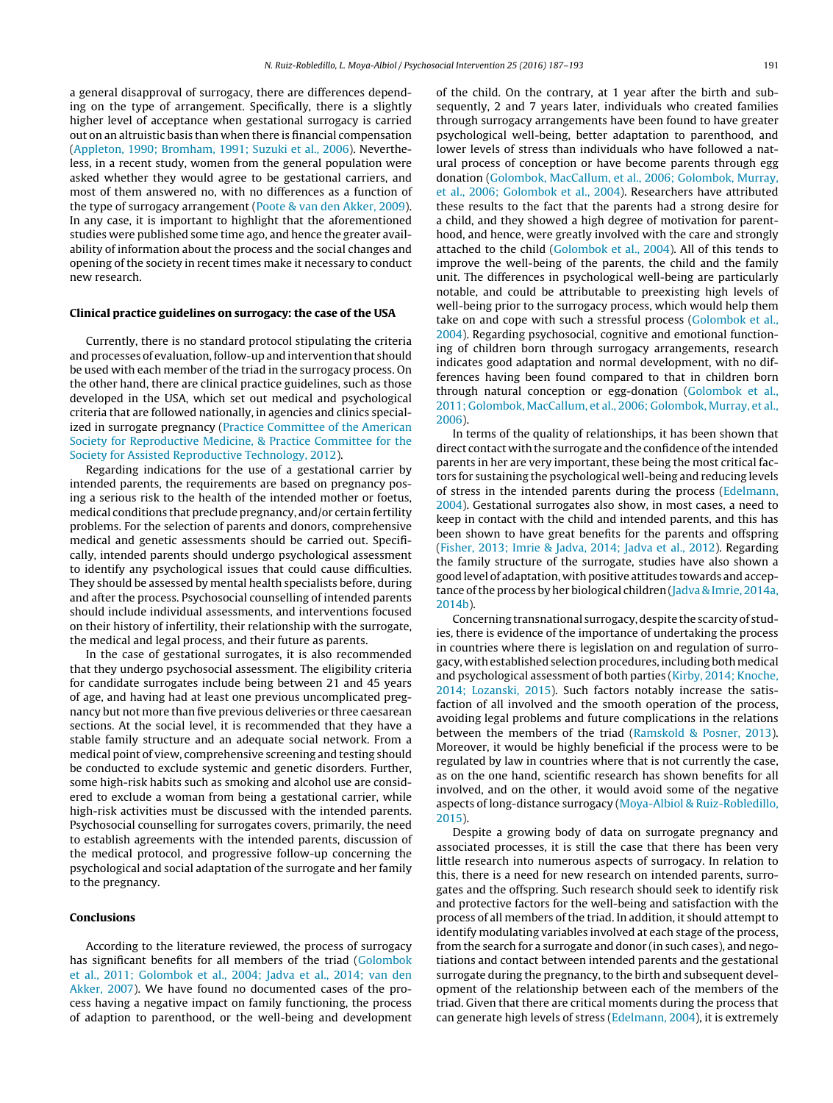a general disapproval of surrogacy, there are differences depending on the type of arrangement. Specifically, there is a slightly higher level of acceptance when gestational surrogacy is carried out on an altruistic basis than when there is financial compensation ([Appleton,](#page-5-0) [1990;](#page-5-0) [Bromham,](#page-5-0) [1991;](#page-5-0) [Suzuki](#page-5-0) et [al.,](#page-5-0) [2006\).](#page-5-0) Nevertheless, in a recent study, women from the general population were asked whether they would agree to be gestational carriers, and most of them answered no, with no differences as a function of the type of surrogacy arrangement ([Poote](#page-6-0) [&](#page-6-0) [van](#page-6-0) [den](#page-6-0) [Akker,](#page-6-0) [2009\).](#page-6-0) In any case, it is important to highlight that the aforementioned studies were published some time ago, and hence the greater availability of information about the process and the social changes and opening of the society in recent times make it necessary to conduct new research.

#### **Clinical practice guidelines on surrogacy: the case of the USA**

Currently, there is no standard protocol stipulating the criteria and processes of evaluation, follow-up and intervention that should be used with each member of the triad in the surrogacy process. On the other hand, there are clinical practice guidelines, such as those developed in the USA, which set out medical and psychological criteria that are followed nationally, in agencies and clinics specialized in surrogate pregnancy [\(Practice](#page-6-0) [Committee](#page-6-0) [of](#page-6-0) [the](#page-6-0) [American](#page-6-0) [Society](#page-6-0) [for](#page-6-0) [Reproductive](#page-6-0) [Medicine,](#page-6-0) [&](#page-6-0) [Practice](#page-6-0) [Committee](#page-6-0) [for](#page-6-0) [the](#page-6-0) [Society](#page-6-0) [for](#page-6-0) [Assisted](#page-6-0) [Reproductive](#page-6-0) [Technology,](#page-6-0) [2012\).](#page-6-0)

Regarding indications for the use of a gestational carrier by intended parents, the requirements are based on pregnancy posing a serious risk to the health of the intended mother or foetus, medical conditions that preclude pregnancy, and/or certain fertility problems. For the selection of parents and donors, comprehensive medical and genetic assessments should be carried out. Specifically, intended parents should undergo psychological assessment to identify any psychological issues that could cause difficulties. They should be assessed by mental health specialists before, during and after the process. Psychosocial counselling of intended parents should include individual assessments, and interventions focused on their history of infertility, their relationship with the surrogate, the medical and legal process, and their future as parents.

In the case of gestational surrogates, it is also recommended that they undergo psychosocial assessment. The eligibility criteria for candidate surrogates include being between 21 and 45 years of age, and having had at least one previous uncomplicated pregnancy but not more than five previous deliveries or three caesarean sections. At the social level, it is recommended that they have a stable family structure and an adequate social network. From a medical point of view, comprehensive screening and testing should be conducted to exclude systemic and genetic disorders. Further, some high-risk habits such as smoking and alcohol use are considered to exclude a woman from being a gestational carrier, while high-risk activities must be discussed with the intended parents. Psychosocial counselling for surrogates covers, primarily, the need to establish agreements with the intended parents, discussion of the medical protocol, and progressive follow-up concerning the psychological and social adaptation of the surrogate and her family to the pregnancy.

## **Conclusions**

According to the literature reviewed, the process of surrogacy has significant benefits for all members of the triad ([Golombok](#page-5-0) et [al.,](#page-5-0) [2011;](#page-5-0) [Golombok](#page-5-0) et [al.,](#page-5-0) [2004;](#page-5-0) [Jadva](#page-5-0) et [al.,](#page-5-0) [2014;](#page-5-0) [van](#page-5-0) [den](#page-5-0) [Akker,](#page-5-0) [2007\).](#page-5-0) We have found no documented cases of the process having a negative impact on family functioning, the process of adaption to parenthood, or the well-being and development

of the child. On the contrary, at 1 year after the birth and subsequently, 2 and 7 years later, individuals who created families through surrogacy arrangements have been found to have greater psychological well-being, better adaptation to parenthood, and lower levels of stress than individuals who have followed a natural process of conception or have become parents through egg donation ([Golombok,](#page-5-0) [MacCallum,](#page-5-0) et [al.,](#page-5-0) [2006;](#page-5-0) [Golombok,](#page-5-0) [Murray,](#page-5-0) et [al.,](#page-5-0) [2006;](#page-5-0) [Golombok](#page-5-0) et [al.,](#page-5-0) [2004\).](#page-5-0) Researchers have attributed these results to the fact that the parents had a strong desire for a child, and they showed a high degree of motivation for parenthood, and hence, were greatly involved with the care and strongly attached to the child ([Golombok](#page-5-0) et [al.,](#page-5-0) [2004\).](#page-5-0) All of this tends to improve the well-being of the parents, the child and the family unit. The differences in psychological well-being are particularly notable, and could be attributable to preexisting high levels of well-being prior to the surrogacy process, which would help them take on and cope with such a stressful process [\(Golombok](#page-5-0) et [al.,](#page-5-0) [2004\).](#page-5-0) Regarding psychosocial, cognitive and emotional functioning of children born through surrogacy arrangements, research indicates good adaptation and normal development, with no differences having been found compared to that in children born through natural conception or egg-donation [\(Golombok](#page-5-0) et [al.,](#page-5-0) [2011;](#page-5-0) [Golombok,](#page-5-0) [MacCallum,](#page-5-0) et [al.,](#page-5-0) [2006;](#page-5-0) [Golombok,](#page-5-0) [Murray,](#page-5-0) et [al.,](#page-5-0) [2006\).](#page-5-0)

In terms of the quality of relationships, it has been shown that direct contact with the surrogate and the confidence of the intended parents in her are very important, these being the most critical factors for sustaining the psychological well-being and reducing levels of stress in the intended parents during the process [\(Edelmann,](#page-5-0) [2004\).](#page-5-0) Gestational surrogates also show, in most cases, a need to keep in contact with the child and intended parents, and this has been shown to have great benefits for the parents and offspring [\(Fisher,](#page-5-0) [2013;](#page-5-0) [Imrie](#page-5-0) [&](#page-5-0) [Jadva,](#page-5-0) [2014;](#page-5-0) [Jadva](#page-5-0) et [al.,](#page-5-0) [2012\).](#page-5-0) Regarding the family structure of the surrogate, studies have also shown a good level of adaptation, with positive attitudes towards and acceptance ofthe process by her biological children ([Jadva](#page-5-0) [&](#page-5-0) [Imrie,](#page-5-0) [2014a,](#page-5-0) [2014b\).](#page-5-0)

Concerning transnational surrogacy,despite the scarcity of studies, there is evidence of the importance of undertaking the process in countries where there is legislation on and regulation of surrogacy, with established selection procedures, including bothmedical and psychological assessment of both parties ([Kirby,](#page-5-0) [2014;](#page-5-0) [Knoche,](#page-5-0) [2014;](#page-5-0) [Lozanski,](#page-5-0) [2015\).](#page-5-0) Such factors notably increase the satisfaction of all involved and the smooth operation of the process, avoiding legal problems and future complications in the relations between the members of the triad [\(Ramskold](#page-6-0) [&](#page-6-0) [Posner,](#page-6-0) [2013\).](#page-6-0) Moreover, it would be highly beneficial if the process were to be regulated by law in countries where that is not currently the case, as on the one hand, scientific research has shown benefits for all involved, and on the other, it would avoid some of the negative aspects of long-distance surrogacy ([Moya-Albiol](#page-6-0) [&](#page-6-0) [Ruiz-Robledillo,](#page-6-0) [2015\).](#page-6-0)

Despite a growing body of data on surrogate pregnancy and associated processes, it is still the case that there has been very little research into numerous aspects of surrogacy. In relation to this, there is a need for new research on intended parents, surrogates and the offspring. Such research should seek to identify risk and protective factors for the well-being and satisfaction with the process of all members of the triad. In addition, it should attempt to identify modulating variables involved at each stage of the process, from the search for a surrogate and donor (in such cases), and negotiations and contact between intended parents and the gestational surrogate during the pregnancy, to the birth and subsequent development of the relationship between each of the members of the triad. Given that there are critical moments during the process that can generate high levels of stress [\(Edelmann,](#page-5-0) [2004\),](#page-5-0) it is extremely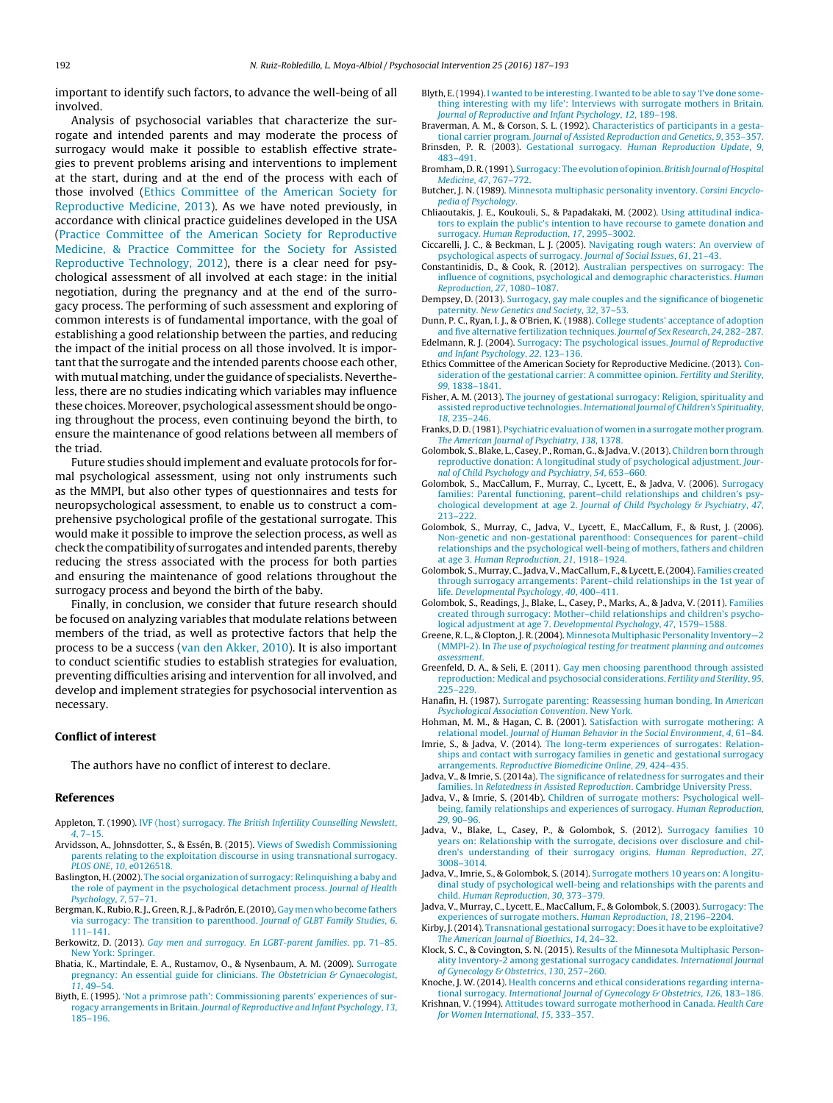<span id="page-5-0"></span>important to identify such factors, to advance the well-being of all involved.

Analysis of psychosocial variables that characterize the surrogate and intended parents and may moderate the process of surrogacy would make it possible to establish effective strategies to prevent problems arising and interventions to implement at the start, during and at the end of the process with each of those involved (Ethics Committee of the American Society for Reproductive Medicine, 2013). As we have noted previously, in accordance with clinical practice guidelines developed in the USA ([Practice](#page-6-0) [Committee](#page-6-0) [of](#page-6-0) [the](#page-6-0) [American](#page-6-0) [Society](#page-6-0) [for](#page-6-0) [Reproductive](#page-6-0) [Medicine,](#page-6-0) [&](#page-6-0) [Practice](#page-6-0) [Committee](#page-6-0) [for](#page-6-0) [the](#page-6-0) [Society](#page-6-0) [for](#page-6-0) [Assisted](#page-6-0) [Reproductive](#page-6-0) [Technology,](#page-6-0) [2012\),](#page-6-0) there is a clear need for psychological assessment of all involved at each stage: in the initial negotiation, during the pregnancy and at the end of the surrogacy process. The performing of such assessment and exploring of common interests is of fundamental importance, with the goal of establishing a good relationship between the parties, and reducing the impact of the initial process on all those involved. It is important that the surrogate and the intended parents choose each other, with mutual matching, under the guidance of specialists. Nevertheless, there are no studies indicating which variables may influence these choices. Moreover, psychological assessment should be ongoing throughout the process, even continuing beyond the birth, to ensure the maintenance of good relations between all members of the triad.

Future studies should implement and evaluate protocols for formal psychological assessment, using not only instruments such as the MMPI, but also other types of questionnaires and tests for neuropsychological assessment, to enable us to construct a comprehensive psychological profile of the gestational surrogate. This would make it possible to improve the selection process, as well as check the compatibility of surrogates and intended parents, thereby reducing the stress associated with the process for both parties and ensuring the maintenance of good relations throughout the surrogacy process and beyond the birth of the baby.

Finally, in conclusion, we consider that future research should be focused on analyzing variables that modulate relations between members of the triad, as well as protective factors that help the process to be a success ([van](#page-6-0) [den](#page-6-0) [Akker,](#page-6-0) [2010\).](#page-6-0) It is also important to conduct scientific studies to establish strategies for evaluation, preventing difficulties arising and intervention for all involved, and develop and implement strategies for psychosocial intervention as necessary.

# **Conflict of interest**

The authors have no conflict of interest to declare.

#### **References**

- Appleton, T. (1990). [IVF](http://refhub.elsevier.com/S1132-0559(16)30023-0/sbref0005) [\(host\)](http://refhub.elsevier.com/S1132-0559(16)30023-0/sbref0005) [surrogacy.](http://refhub.elsevier.com/S1132-0559(16)30023-0/sbref0005) [The](http://refhub.elsevier.com/S1132-0559(16)30023-0/sbref0005) [British](http://refhub.elsevier.com/S1132-0559(16)30023-0/sbref0005) [Infertility](http://refhub.elsevier.com/S1132-0559(16)30023-0/sbref0005) [Counselling](http://refhub.elsevier.com/S1132-0559(16)30023-0/sbref0005) [Newslett](http://refhub.elsevier.com/S1132-0559(16)30023-0/sbref0005)[,](http://refhub.elsevier.com/S1132-0559(16)30023-0/sbref0005)  $47 - 15$  $47 - 15$
- Arvidsson, A., Johnsdotter, S., & Essén, B. (2015). [Views](http://refhub.elsevier.com/S1132-0559(16)30023-0/sbref0010) [of](http://refhub.elsevier.com/S1132-0559(16)30023-0/sbref0010) [Swedish](http://refhub.elsevier.com/S1132-0559(16)30023-0/sbref0010) [Commissioning](http://refhub.elsevier.com/S1132-0559(16)30023-0/sbref0010) [parents](http://refhub.elsevier.com/S1132-0559(16)30023-0/sbref0010) [relating](http://refhub.elsevier.com/S1132-0559(16)30023-0/sbref0010) [to](http://refhub.elsevier.com/S1132-0559(16)30023-0/sbref0010) [the](http://refhub.elsevier.com/S1132-0559(16)30023-0/sbref0010) [exploitation](http://refhub.elsevier.com/S1132-0559(16)30023-0/sbref0010) [discourse](http://refhub.elsevier.com/S1132-0559(16)30023-0/sbref0010) [in](http://refhub.elsevier.com/S1132-0559(16)30023-0/sbref0010) [using](http://refhub.elsevier.com/S1132-0559(16)30023-0/sbref0010) [transnational](http://refhub.elsevier.com/S1132-0559(16)30023-0/sbref0010) [surrogacy.](http://refhub.elsevier.com/S1132-0559(16)30023-0/sbref0010) [PLOS](http://refhub.elsevier.com/S1132-0559(16)30023-0/sbref0010) [ONE](http://refhub.elsevier.com/S1132-0559(16)30023-0/sbref0010)[,](http://refhub.elsevier.com/S1132-0559(16)30023-0/sbref0010) [10](http://refhub.elsevier.com/S1132-0559(16)30023-0/sbref0010)[,](http://refhub.elsevier.com/S1132-0559(16)30023-0/sbref0010) [e0126518.](http://refhub.elsevier.com/S1132-0559(16)30023-0/sbref0010)
- Baslington, H.(2002). [The](http://refhub.elsevier.com/S1132-0559(16)30023-0/sbref0015) [social](http://refhub.elsevier.com/S1132-0559(16)30023-0/sbref0015) [organization](http://refhub.elsevier.com/S1132-0559(16)30023-0/sbref0015) [of](http://refhub.elsevier.com/S1132-0559(16)30023-0/sbref0015) [surrogacy:](http://refhub.elsevier.com/S1132-0559(16)30023-0/sbref0015) [Relinquishing](http://refhub.elsevier.com/S1132-0559(16)30023-0/sbref0015) [a](http://refhub.elsevier.com/S1132-0559(16)30023-0/sbref0015) [baby](http://refhub.elsevier.com/S1132-0559(16)30023-0/sbref0015) [and](http://refhub.elsevier.com/S1132-0559(16)30023-0/sbref0015) [the](http://refhub.elsevier.com/S1132-0559(16)30023-0/sbref0015) [role](http://refhub.elsevier.com/S1132-0559(16)30023-0/sbref0015) [of](http://refhub.elsevier.com/S1132-0559(16)30023-0/sbref0015) [payment](http://refhub.elsevier.com/S1132-0559(16)30023-0/sbref0015) [in](http://refhub.elsevier.com/S1132-0559(16)30023-0/sbref0015) [the](http://refhub.elsevier.com/S1132-0559(16)30023-0/sbref0015) [psychological](http://refhub.elsevier.com/S1132-0559(16)30023-0/sbref0015) [detachment](http://refhub.elsevier.com/S1132-0559(16)30023-0/sbref0015) [process.](http://refhub.elsevier.com/S1132-0559(16)30023-0/sbref0015) [Journal](http://refhub.elsevier.com/S1132-0559(16)30023-0/sbref0015) [of](http://refhub.elsevier.com/S1132-0559(16)30023-0/sbref0015) [Health](http://refhub.elsevier.com/S1132-0559(16)30023-0/sbref0015) [Psychology](http://refhub.elsevier.com/S1132-0559(16)30023-0/sbref0015)[,](http://refhub.elsevier.com/S1132-0559(16)30023-0/sbref0015) [7](http://refhub.elsevier.com/S1132-0559(16)30023-0/sbref0015)[,](http://refhub.elsevier.com/S1132-0559(16)30023-0/sbref0015) [57–71.](http://refhub.elsevier.com/S1132-0559(16)30023-0/sbref0015)
- Bergman,K.,Rubio,R.J., Green,R.J., & Padrón, E.(2010). [Gaymen](http://refhub.elsevier.com/S1132-0559(16)30023-0/sbref0020) [who](http://refhub.elsevier.com/S1132-0559(16)30023-0/sbref0020) [become](http://refhub.elsevier.com/S1132-0559(16)30023-0/sbref0020) [fathers](http://refhub.elsevier.com/S1132-0559(16)30023-0/sbref0020) [via](http://refhub.elsevier.com/S1132-0559(16)30023-0/sbref0020) [surrogacy:](http://refhub.elsevier.com/S1132-0559(16)30023-0/sbref0020) [The](http://refhub.elsevier.com/S1132-0559(16)30023-0/sbref0020) [transition](http://refhub.elsevier.com/S1132-0559(16)30023-0/sbref0020) [to](http://refhub.elsevier.com/S1132-0559(16)30023-0/sbref0020) [parenthood.](http://refhub.elsevier.com/S1132-0559(16)30023-0/sbref0020) [Journal](http://refhub.elsevier.com/S1132-0559(16)30023-0/sbref0020) [of](http://refhub.elsevier.com/S1132-0559(16)30023-0/sbref0020) [GLBT](http://refhub.elsevier.com/S1132-0559(16)30023-0/sbref0020) [Family](http://refhub.elsevier.com/S1132-0559(16)30023-0/sbref0020) [Studies](http://refhub.elsevier.com/S1132-0559(16)30023-0/sbref0020)[,](http://refhub.elsevier.com/S1132-0559(16)30023-0/sbref0020) [6](http://refhub.elsevier.com/S1132-0559(16)30023-0/sbref0020)[,](http://refhub.elsevier.com/S1132-0559(16)30023-0/sbref0020) [111](http://refhub.elsevier.com/S1132-0559(16)30023-0/sbref0020)–[141.](http://refhub.elsevier.com/S1132-0559(16)30023-0/sbref0020)
- Berkowitz, D. (2013). [Gay](http://refhub.elsevier.com/S1132-0559(16)30023-0/sbref0025) [men](http://refhub.elsevier.com/S1132-0559(16)30023-0/sbref0025) [and](http://refhub.elsevier.com/S1132-0559(16)30023-0/sbref0025) [surrogacy.](http://refhub.elsevier.com/S1132-0559(16)30023-0/sbref0025) [En](http://refhub.elsevier.com/S1132-0559(16)30023-0/sbref0025) [LGBT-parent](http://refhub.elsevier.com/S1132-0559(16)30023-0/sbref0025) [families](http://refhub.elsevier.com/S1132-0559(16)30023-0/sbref0025)[.](http://refhub.elsevier.com/S1132-0559(16)30023-0/sbref0025) [pp.](http://refhub.elsevier.com/S1132-0559(16)30023-0/sbref0025) [71](http://refhub.elsevier.com/S1132-0559(16)30023-0/sbref0025)–[85.](http://refhub.elsevier.com/S1132-0559(16)30023-0/sbref0025) [New](http://refhub.elsevier.com/S1132-0559(16)30023-0/sbref0025) [York:](http://refhub.elsevier.com/S1132-0559(16)30023-0/sbref0025) [Springer.](http://refhub.elsevier.com/S1132-0559(16)30023-0/sbref0025)
- Bhatia, K., Martindale, E. A., Rustamov, O., & Nysenbaum, A. M. (2009). [Surrogate](http://refhub.elsevier.com/S1132-0559(16)30023-0/sbref0030) [pregnancy:](http://refhub.elsevier.com/S1132-0559(16)30023-0/sbref0030) [An](http://refhub.elsevier.com/S1132-0559(16)30023-0/sbref0030) [essential](http://refhub.elsevier.com/S1132-0559(16)30023-0/sbref0030) [guide](http://refhub.elsevier.com/S1132-0559(16)30023-0/sbref0030) [for](http://refhub.elsevier.com/S1132-0559(16)30023-0/sbref0030) [clinicians.](http://refhub.elsevier.com/S1132-0559(16)30023-0/sbref0030) [The](http://refhub.elsevier.com/S1132-0559(16)30023-0/sbref0030) [Obstetrician](http://refhub.elsevier.com/S1132-0559(16)30023-0/sbref0030) [&](http://refhub.elsevier.com/S1132-0559(16)30023-0/sbref0030) [Gynaecologist](http://refhub.elsevier.com/S1132-0559(16)30023-0/sbref0030)[,](http://refhub.elsevier.com/S1132-0559(16)30023-0/sbref0030) [11](http://refhub.elsevier.com/S1132-0559(16)30023-0/sbref0030), [49](http://refhub.elsevier.com/S1132-0559(16)30023-0/sbref0030)–[54.](http://refhub.elsevier.com/S1132-0559(16)30023-0/sbref0030)
- Biyth, E. (1995). ['Not](http://refhub.elsevier.com/S1132-0559(16)30023-0/sbref0035) [a](http://refhub.elsevier.com/S1132-0559(16)30023-0/sbref0035) [primrose](http://refhub.elsevier.com/S1132-0559(16)30023-0/sbref0035) [path':](http://refhub.elsevier.com/S1132-0559(16)30023-0/sbref0035) [Commissioning](http://refhub.elsevier.com/S1132-0559(16)30023-0/sbref0035) [parents'](http://refhub.elsevier.com/S1132-0559(16)30023-0/sbref0035) [experiences](http://refhub.elsevier.com/S1132-0559(16)30023-0/sbref0035) [of](http://refhub.elsevier.com/S1132-0559(16)30023-0/sbref0035) [sur](http://refhub.elsevier.com/S1132-0559(16)30023-0/sbref0035)[rogacy](http://refhub.elsevier.com/S1132-0559(16)30023-0/sbref0035) [arrangements](http://refhub.elsevier.com/S1132-0559(16)30023-0/sbref0035) [in](http://refhub.elsevier.com/S1132-0559(16)30023-0/sbref0035) [Britain.](http://refhub.elsevier.com/S1132-0559(16)30023-0/sbref0035) [Journal](http://refhub.elsevier.com/S1132-0559(16)30023-0/sbref0035) [of](http://refhub.elsevier.com/S1132-0559(16)30023-0/sbref0035) [Reproductive](http://refhub.elsevier.com/S1132-0559(16)30023-0/sbref0035) [and](http://refhub.elsevier.com/S1132-0559(16)30023-0/sbref0035) [Infant](http://refhub.elsevier.com/S1132-0559(16)30023-0/sbref0035) [Psychology](http://refhub.elsevier.com/S1132-0559(16)30023-0/sbref0035)[,](http://refhub.elsevier.com/S1132-0559(16)30023-0/sbref0035) [13](http://refhub.elsevier.com/S1132-0559(16)30023-0/sbref0035)[,](http://refhub.elsevier.com/S1132-0559(16)30023-0/sbref0035) [185](http://refhub.elsevier.com/S1132-0559(16)30023-0/sbref0035)–[196.](http://refhub.elsevier.com/S1132-0559(16)30023-0/sbref0035)
- Blyth, E.(1994). [I](http://refhub.elsevier.com/S1132-0559(16)30023-0/sbref0040) [wanted](http://refhub.elsevier.com/S1132-0559(16)30023-0/sbref0040) [to](http://refhub.elsevier.com/S1132-0559(16)30023-0/sbref0040) [be](http://refhub.elsevier.com/S1132-0559(16)30023-0/sbref0040) [interesting.](http://refhub.elsevier.com/S1132-0559(16)30023-0/sbref0040) [I](http://refhub.elsevier.com/S1132-0559(16)30023-0/sbref0040) [wanted](http://refhub.elsevier.com/S1132-0559(16)30023-0/sbref0040) [to](http://refhub.elsevier.com/S1132-0559(16)30023-0/sbref0040) [be](http://refhub.elsevier.com/S1132-0559(16)30023-0/sbref0040) [able](http://refhub.elsevier.com/S1132-0559(16)30023-0/sbref0040) [to](http://refhub.elsevier.com/S1132-0559(16)30023-0/sbref0040) [say](http://refhub.elsevier.com/S1132-0559(16)30023-0/sbref0040) ['I've](http://refhub.elsevier.com/S1132-0559(16)30023-0/sbref0040) [done](http://refhub.elsevier.com/S1132-0559(16)30023-0/sbref0040) [some](http://refhub.elsevier.com/S1132-0559(16)30023-0/sbref0040)[thing](http://refhub.elsevier.com/S1132-0559(16)30023-0/sbref0040) [interesting](http://refhub.elsevier.com/S1132-0559(16)30023-0/sbref0040) [with](http://refhub.elsevier.com/S1132-0559(16)30023-0/sbref0040) [my](http://refhub.elsevier.com/S1132-0559(16)30023-0/sbref0040) [life':](http://refhub.elsevier.com/S1132-0559(16)30023-0/sbref0040) [Interviews](http://refhub.elsevier.com/S1132-0559(16)30023-0/sbref0040) [with](http://refhub.elsevier.com/S1132-0559(16)30023-0/sbref0040) [surrogate](http://refhub.elsevier.com/S1132-0559(16)30023-0/sbref0040) [mothers](http://refhub.elsevier.com/S1132-0559(16)30023-0/sbref0040) [in](http://refhub.elsevier.com/S1132-0559(16)30023-0/sbref0040) [Britain.](http://refhub.elsevier.com/S1132-0559(16)30023-0/sbref0040) [Journal](http://refhub.elsevier.com/S1132-0559(16)30023-0/sbref0040) [of](http://refhub.elsevier.com/S1132-0559(16)30023-0/sbref0040) [Reproductive](http://refhub.elsevier.com/S1132-0559(16)30023-0/sbref0040) [and](http://refhub.elsevier.com/S1132-0559(16)30023-0/sbref0040) [Infant](http://refhub.elsevier.com/S1132-0559(16)30023-0/sbref0040) [Psychology](http://refhub.elsevier.com/S1132-0559(16)30023-0/sbref0040)[,](http://refhub.elsevier.com/S1132-0559(16)30023-0/sbref0040) [12](http://refhub.elsevier.com/S1132-0559(16)30023-0/sbref0040)[,](http://refhub.elsevier.com/S1132-0559(16)30023-0/sbref0040) [189](http://refhub.elsevier.com/S1132-0559(16)30023-0/sbref0040)–[198.](http://refhub.elsevier.com/S1132-0559(16)30023-0/sbref0040)
- Braverman, A. M., & Corson, S. L. (1992). [Characteristics](http://refhub.elsevier.com/S1132-0559(16)30023-0/sbref0045) [of](http://refhub.elsevier.com/S1132-0559(16)30023-0/sbref0045) [participants](http://refhub.elsevier.com/S1132-0559(16)30023-0/sbref0045) [in](http://refhub.elsevier.com/S1132-0559(16)30023-0/sbref0045) [a](http://refhub.elsevier.com/S1132-0559(16)30023-0/sbref0045) [gesta](http://refhub.elsevier.com/S1132-0559(16)30023-0/sbref0045)[tional](http://refhub.elsevier.com/S1132-0559(16)30023-0/sbref0045) [carrier](http://refhub.elsevier.com/S1132-0559(16)30023-0/sbref0045) [program.](http://refhub.elsevier.com/S1132-0559(16)30023-0/sbref0045) [Journal](http://refhub.elsevier.com/S1132-0559(16)30023-0/sbref0045) [of](http://refhub.elsevier.com/S1132-0559(16)30023-0/sbref0045) [Assisted](http://refhub.elsevier.com/S1132-0559(16)30023-0/sbref0045) [Reproduction](http://refhub.elsevier.com/S1132-0559(16)30023-0/sbref0045) [and](http://refhub.elsevier.com/S1132-0559(16)30023-0/sbref0045) [Genetics](http://refhub.elsevier.com/S1132-0559(16)30023-0/sbref0045)[,](http://refhub.elsevier.com/S1132-0559(16)30023-0/sbref0045) [9](http://refhub.elsevier.com/S1132-0559(16)30023-0/sbref0045)[,](http://refhub.elsevier.com/S1132-0559(16)30023-0/sbref0045) [353](http://refhub.elsevier.com/S1132-0559(16)30023-0/sbref0045)–[357.](http://refhub.elsevier.com/S1132-0559(16)30023-0/sbref0045)
- Brinsden, P. R. (2003). [Gestational](http://refhub.elsevier.com/S1132-0559(16)30023-0/sbref0050) [surrogacy.](http://refhub.elsevier.com/S1132-0559(16)30023-0/sbref0050) [Human](http://refhub.elsevier.com/S1132-0559(16)30023-0/sbref0050) [Reproduction](http://refhub.elsevier.com/S1132-0559(16)30023-0/sbref0050) [Update](http://refhub.elsevier.com/S1132-0559(16)30023-0/sbref0050), [9](http://refhub.elsevier.com/S1132-0559(16)30023-0/sbref0050)[,](http://refhub.elsevier.com/S1132-0559(16)30023-0/sbref0050) [483](http://refhub.elsevier.com/S1132-0559(16)30023-0/sbref0050)–[491.](http://refhub.elsevier.com/S1132-0559(16)30023-0/sbref0050)
- Bromham, D.R.(1991). [Surrogacy:](http://refhub.elsevier.com/S1132-0559(16)30023-0/sbref0055) [The](http://refhub.elsevier.com/S1132-0559(16)30023-0/sbref0055) [evolutionof](http://refhub.elsevier.com/S1132-0559(16)30023-0/sbref0055) [opinion.](http://refhub.elsevier.com/S1132-0559(16)30023-0/sbref0055) [British](http://refhub.elsevier.com/S1132-0559(16)30023-0/sbref0055) [Journal](http://refhub.elsevier.com/S1132-0559(16)30023-0/sbref0055) [of](http://refhub.elsevier.com/S1132-0559(16)30023-0/sbref0055) [Hospital](http://refhub.elsevier.com/S1132-0559(16)30023-0/sbref0055) [Medicine](http://refhub.elsevier.com/S1132-0559(16)30023-0/sbref0055)[,](http://refhub.elsevier.com/S1132-0559(16)30023-0/sbref0055) [47](http://refhub.elsevier.com/S1132-0559(16)30023-0/sbref0055)[,](http://refhub.elsevier.com/S1132-0559(16)30023-0/sbref0055) [767–772.](http://refhub.elsevier.com/S1132-0559(16)30023-0/sbref0055)
- Butcher, J. N. (1989). [Minnesota](http://refhub.elsevier.com/S1132-0559(16)30023-0/sbref0060) [multiphasic](http://refhub.elsevier.com/S1132-0559(16)30023-0/sbref0060) [personality](http://refhub.elsevier.com/S1132-0559(16)30023-0/sbref0060) [inventory.](http://refhub.elsevier.com/S1132-0559(16)30023-0/sbref0060) [Corsini](http://refhub.elsevier.com/S1132-0559(16)30023-0/sbref0060) [Encyclo](http://refhub.elsevier.com/S1132-0559(16)30023-0/sbref0060)[pedia](http://refhub.elsevier.com/S1132-0559(16)30023-0/sbref0060) [of](http://refhub.elsevier.com/S1132-0559(16)30023-0/sbref0060) [Psychology](http://refhub.elsevier.com/S1132-0559(16)30023-0/sbref0060)[.](http://refhub.elsevier.com/S1132-0559(16)30023-0/sbref0060)
- Chliaoutakis, J. E., Koukouli, S., & Papadakaki, M. (2002). [Using](http://refhub.elsevier.com/S1132-0559(16)30023-0/sbref0065) [attitudinal](http://refhub.elsevier.com/S1132-0559(16)30023-0/sbref0065) [indica](http://refhub.elsevier.com/S1132-0559(16)30023-0/sbref0065)[tors](http://refhub.elsevier.com/S1132-0559(16)30023-0/sbref0065) [to](http://refhub.elsevier.com/S1132-0559(16)30023-0/sbref0065) [explain](http://refhub.elsevier.com/S1132-0559(16)30023-0/sbref0065) [the](http://refhub.elsevier.com/S1132-0559(16)30023-0/sbref0065) [public's](http://refhub.elsevier.com/S1132-0559(16)30023-0/sbref0065) [intention](http://refhub.elsevier.com/S1132-0559(16)30023-0/sbref0065) [to](http://refhub.elsevier.com/S1132-0559(16)30023-0/sbref0065) [have](http://refhub.elsevier.com/S1132-0559(16)30023-0/sbref0065) [recourse](http://refhub.elsevier.com/S1132-0559(16)30023-0/sbref0065) [to](http://refhub.elsevier.com/S1132-0559(16)30023-0/sbref0065) [gamete](http://refhub.elsevier.com/S1132-0559(16)30023-0/sbref0065) [donation](http://refhub.elsevier.com/S1132-0559(16)30023-0/sbref0065) [and](http://refhub.elsevier.com/S1132-0559(16)30023-0/sbref0065) [surrogacy.](http://refhub.elsevier.com/S1132-0559(16)30023-0/sbref0065) [Human](http://refhub.elsevier.com/S1132-0559(16)30023-0/sbref0065) [Reproduction](http://refhub.elsevier.com/S1132-0559(16)30023-0/sbref0065)[,](http://refhub.elsevier.com/S1132-0559(16)30023-0/sbref0065) [17](http://refhub.elsevier.com/S1132-0559(16)30023-0/sbref0065)[,](http://refhub.elsevier.com/S1132-0559(16)30023-0/sbref0065) [2995–3002.](http://refhub.elsevier.com/S1132-0559(16)30023-0/sbref0065)
- Ciccarelli, J. C., & Beckman, L. J. (2005). [Navigating](http://refhub.elsevier.com/S1132-0559(16)30023-0/sbref0070) [rough](http://refhub.elsevier.com/S1132-0559(16)30023-0/sbref0070) [waters:](http://refhub.elsevier.com/S1132-0559(16)30023-0/sbref0070) [An](http://refhub.elsevier.com/S1132-0559(16)30023-0/sbref0070) [overview](http://refhub.elsevier.com/S1132-0559(16)30023-0/sbref0070) [of](http://refhub.elsevier.com/S1132-0559(16)30023-0/sbref0070)
- [psychological](http://refhub.elsevier.com/S1132-0559(16)30023-0/sbref0070) [aspects](http://refhub.elsevier.com/S1132-0559(16)30023-0/sbref0070) [of](http://refhub.elsevier.com/S1132-0559(16)30023-0/sbref0070) [surrogacy.](http://refhub.elsevier.com/S1132-0559(16)30023-0/sbref0070) [Journal](http://refhub.elsevier.com/S1132-0559(16)30023-0/sbref0070) [of](http://refhub.elsevier.com/S1132-0559(16)30023-0/sbref0070) [Social](http://refhub.elsevier.com/S1132-0559(16)30023-0/sbref0070) [Issues](http://refhub.elsevier.com/S1132-0559(16)30023-0/sbref0070)[,](http://refhub.elsevier.com/S1132-0559(16)30023-0/sbref0070) [61](http://refhub.elsevier.com/S1132-0559(16)30023-0/sbref0070)[,](http://refhub.elsevier.com/S1132-0559(16)30023-0/sbref0070) [21–43.](http://refhub.elsevier.com/S1132-0559(16)30023-0/sbref0070) Constantinidis, D., & Cook, R. (2012). [Australian](http://refhub.elsevier.com/S1132-0559(16)30023-0/sbref0075) [perspectives](http://refhub.elsevier.com/S1132-0559(16)30023-0/sbref0075) [on](http://refhub.elsevier.com/S1132-0559(16)30023-0/sbref0075) [surrogacy:](http://refhub.elsevier.com/S1132-0559(16)30023-0/sbref0075) [The](http://refhub.elsevier.com/S1132-0559(16)30023-0/sbref0075) [influence](http://refhub.elsevier.com/S1132-0559(16)30023-0/sbref0075) [of](http://refhub.elsevier.com/S1132-0559(16)30023-0/sbref0075) [cognitions,](http://refhub.elsevier.com/S1132-0559(16)30023-0/sbref0075) [psychological](http://refhub.elsevier.com/S1132-0559(16)30023-0/sbref0075) [and](http://refhub.elsevier.com/S1132-0559(16)30023-0/sbref0075) [demographic](http://refhub.elsevier.com/S1132-0559(16)30023-0/sbref0075) [characteristics.](http://refhub.elsevier.com/S1132-0559(16)30023-0/sbref0075) [Human](http://refhub.elsevier.com/S1132-0559(16)30023-0/sbref0075) [Reproduction](http://refhub.elsevier.com/S1132-0559(16)30023-0/sbref0075)[,](http://refhub.elsevier.com/S1132-0559(16)30023-0/sbref0075) [27](http://refhub.elsevier.com/S1132-0559(16)30023-0/sbref0075)[,](http://refhub.elsevier.com/S1132-0559(16)30023-0/sbref0075) [1080–1087.](http://refhub.elsevier.com/S1132-0559(16)30023-0/sbref0075)
- Dempsey, D. (2013). [Surrogacy,](http://refhub.elsevier.com/S1132-0559(16)30023-0/sbref0080) [gay](http://refhub.elsevier.com/S1132-0559(16)30023-0/sbref0080) [male](http://refhub.elsevier.com/S1132-0559(16)30023-0/sbref0080) [couples](http://refhub.elsevier.com/S1132-0559(16)30023-0/sbref0080) [and](http://refhub.elsevier.com/S1132-0559(16)30023-0/sbref0080) [the](http://refhub.elsevier.com/S1132-0559(16)30023-0/sbref0080) [significance](http://refhub.elsevier.com/S1132-0559(16)30023-0/sbref0080) [of](http://refhub.elsevier.com/S1132-0559(16)30023-0/sbref0080) [biogenetic](http://refhub.elsevier.com/S1132-0559(16)30023-0/sbref0080) [paternity.](http://refhub.elsevier.com/S1132-0559(16)30023-0/sbref0080) [New](http://refhub.elsevier.com/S1132-0559(16)30023-0/sbref0080) [Genetics](http://refhub.elsevier.com/S1132-0559(16)30023-0/sbref0080) [and](http://refhub.elsevier.com/S1132-0559(16)30023-0/sbref0080) [Society](http://refhub.elsevier.com/S1132-0559(16)30023-0/sbref0080)[,](http://refhub.elsevier.com/S1132-0559(16)30023-0/sbref0080) [32](http://refhub.elsevier.com/S1132-0559(16)30023-0/sbref0080)[,](http://refhub.elsevier.com/S1132-0559(16)30023-0/sbref0080) [37–53.](http://refhub.elsevier.com/S1132-0559(16)30023-0/sbref0080)
- Dunn, P. C., Ryan, I. J., & O'Brien, K. (1988). [College](http://refhub.elsevier.com/S1132-0559(16)30023-0/sbref0085) [students'](http://refhub.elsevier.com/S1132-0559(16)30023-0/sbref0085) [acceptance](http://refhub.elsevier.com/S1132-0559(16)30023-0/sbref0085) [of](http://refhub.elsevier.com/S1132-0559(16)30023-0/sbref0085) [adoption](http://refhub.elsevier.com/S1132-0559(16)30023-0/sbref0085) [and](http://refhub.elsevier.com/S1132-0559(16)30023-0/sbref0085) [five](http://refhub.elsevier.com/S1132-0559(16)30023-0/sbref0085) [alternative](http://refhub.elsevier.com/S1132-0559(16)30023-0/sbref0085) [fertilization](http://refhub.elsevier.com/S1132-0559(16)30023-0/sbref0085) [techniques.](http://refhub.elsevier.com/S1132-0559(16)30023-0/sbref0085) [Journal](http://refhub.elsevier.com/S1132-0559(16)30023-0/sbref0085) [of](http://refhub.elsevier.com/S1132-0559(16)30023-0/sbref0085) [Sex](http://refhub.elsevier.com/S1132-0559(16)30023-0/sbref0085) [Research](http://refhub.elsevier.com/S1132-0559(16)30023-0/sbref0085)[,](http://refhub.elsevier.com/S1132-0559(16)30023-0/sbref0085) [24](http://refhub.elsevier.com/S1132-0559(16)30023-0/sbref0085)[,](http://refhub.elsevier.com/S1132-0559(16)30023-0/sbref0085) [282–287.](http://refhub.elsevier.com/S1132-0559(16)30023-0/sbref0085)
- Edelmann, R. J. (2004). [Surrogacy:](http://refhub.elsevier.com/S1132-0559(16)30023-0/sbref0090) [The](http://refhub.elsevier.com/S1132-0559(16)30023-0/sbref0090) [psychological](http://refhub.elsevier.com/S1132-0559(16)30023-0/sbref0090) [issues.](http://refhub.elsevier.com/S1132-0559(16)30023-0/sbref0090) [Journal](http://refhub.elsevier.com/S1132-0559(16)30023-0/sbref0090) [of](http://refhub.elsevier.com/S1132-0559(16)30023-0/sbref0090) [Reproductive](http://refhub.elsevier.com/S1132-0559(16)30023-0/sbref0090) [and](http://refhub.elsevier.com/S1132-0559(16)30023-0/sbref0090) [Infant](http://refhub.elsevier.com/S1132-0559(16)30023-0/sbref0090) [Psychology](http://refhub.elsevier.com/S1132-0559(16)30023-0/sbref0090)[,](http://refhub.elsevier.com/S1132-0559(16)30023-0/sbref0090) [22](http://refhub.elsevier.com/S1132-0559(16)30023-0/sbref0090)[,](http://refhub.elsevier.com/S1132-0559(16)30023-0/sbref0090) [123](http://refhub.elsevier.com/S1132-0559(16)30023-0/sbref0090)–[136.](http://refhub.elsevier.com/S1132-0559(16)30023-0/sbref0090)
- Ethics Committee of the American Society for Reproductive Medicine. (2013). [Con](http://refhub.elsevier.com/S1132-0559(16)30023-0/sbref0095)[sideration](http://refhub.elsevier.com/S1132-0559(16)30023-0/sbref0095) [of](http://refhub.elsevier.com/S1132-0559(16)30023-0/sbref0095) [the](http://refhub.elsevier.com/S1132-0559(16)30023-0/sbref0095) [gestational](http://refhub.elsevier.com/S1132-0559(16)30023-0/sbref0095) [carrier:](http://refhub.elsevier.com/S1132-0559(16)30023-0/sbref0095) [A](http://refhub.elsevier.com/S1132-0559(16)30023-0/sbref0095) [committee](http://refhub.elsevier.com/S1132-0559(16)30023-0/sbref0095) [opinion.](http://refhub.elsevier.com/S1132-0559(16)30023-0/sbref0095) [Fertility](http://refhub.elsevier.com/S1132-0559(16)30023-0/sbref0095) [and](http://refhub.elsevier.com/S1132-0559(16)30023-0/sbref0095) [Sterility](http://refhub.elsevier.com/S1132-0559(16)30023-0/sbref0095)[,](http://refhub.elsevier.com/S1132-0559(16)30023-0/sbref0095) [99](http://refhub.elsevier.com/S1132-0559(16)30023-0/sbref0095)[,](http://refhub.elsevier.com/S1132-0559(16)30023-0/sbref0095) [1838](http://refhub.elsevier.com/S1132-0559(16)30023-0/sbref0095)–[1841.](http://refhub.elsevier.com/S1132-0559(16)30023-0/sbref0095)
- Fisher, A. M. (2013). [The](http://refhub.elsevier.com/S1132-0559(16)30023-0/sbref0100) [journey](http://refhub.elsevier.com/S1132-0559(16)30023-0/sbref0100) [of](http://refhub.elsevier.com/S1132-0559(16)30023-0/sbref0100) [gestational](http://refhub.elsevier.com/S1132-0559(16)30023-0/sbref0100) [surrogacy:](http://refhub.elsevier.com/S1132-0559(16)30023-0/sbref0100) [Religion,](http://refhub.elsevier.com/S1132-0559(16)30023-0/sbref0100) [spirituality](http://refhub.elsevier.com/S1132-0559(16)30023-0/sbref0100) [and](http://refhub.elsevier.com/S1132-0559(16)30023-0/sbref0100) [assisted](http://refhub.elsevier.com/S1132-0559(16)30023-0/sbref0100) [reproductive](http://refhub.elsevier.com/S1132-0559(16)30023-0/sbref0100) [technologies.](http://refhub.elsevier.com/S1132-0559(16)30023-0/sbref0100) [International](http://refhub.elsevier.com/S1132-0559(16)30023-0/sbref0100) [Journal](http://refhub.elsevier.com/S1132-0559(16)30023-0/sbref0100) [of](http://refhub.elsevier.com/S1132-0559(16)30023-0/sbref0100) [Children's](http://refhub.elsevier.com/S1132-0559(16)30023-0/sbref0100) [Spirituality](http://refhub.elsevier.com/S1132-0559(16)30023-0/sbref0100)[,](http://refhub.elsevier.com/S1132-0559(16)30023-0/sbref0100) [18](http://refhub.elsevier.com/S1132-0559(16)30023-0/sbref0100)[,](http://refhub.elsevier.com/S1132-0559(16)30023-0/sbref0100) [235](http://refhub.elsevier.com/S1132-0559(16)30023-0/sbref0100)–[246.](http://refhub.elsevier.com/S1132-0559(16)30023-0/sbref0100)
- Franks, D. D. (1981). [Psychiatric](http://refhub.elsevier.com/S1132-0559(16)30023-0/sbref0105) evaluation of women in a surrogate mother program. [The](http://refhub.elsevier.com/S1132-0559(16)30023-0/sbref0105) [American](http://refhub.elsevier.com/S1132-0559(16)30023-0/sbref0105) [Journal](http://refhub.elsevier.com/S1132-0559(16)30023-0/sbref0105) [of](http://refhub.elsevier.com/S1132-0559(16)30023-0/sbref0105) [Psychiatry](http://refhub.elsevier.com/S1132-0559(16)30023-0/sbref0105), [138](http://refhub.elsevier.com/S1132-0559(16)30023-0/sbref0105)[,](http://refhub.elsevier.com/S1132-0559(16)30023-0/sbref0105) [1378.](http://refhub.elsevier.com/S1132-0559(16)30023-0/sbref0105)
- Golombok, S., Blake, L., Casey, P., Roman, G., & Jadva,V.(2013). [Children](http://refhub.elsevier.com/S1132-0559(16)30023-0/sbref0110) [born](http://refhub.elsevier.com/S1132-0559(16)30023-0/sbref0110) [through](http://refhub.elsevier.com/S1132-0559(16)30023-0/sbref0110) [reproductive](http://refhub.elsevier.com/S1132-0559(16)30023-0/sbref0110) [donation:](http://refhub.elsevier.com/S1132-0559(16)30023-0/sbref0110) [A](http://refhub.elsevier.com/S1132-0559(16)30023-0/sbref0110) [longitudinal](http://refhub.elsevier.com/S1132-0559(16)30023-0/sbref0110) [study](http://refhub.elsevier.com/S1132-0559(16)30023-0/sbref0110) [of](http://refhub.elsevier.com/S1132-0559(16)30023-0/sbref0110) [psychological](http://refhub.elsevier.com/S1132-0559(16)30023-0/sbref0110) [adjustment.](http://refhub.elsevier.com/S1132-0559(16)30023-0/sbref0110) [Jour](http://refhub.elsevier.com/S1132-0559(16)30023-0/sbref0110)[nal](http://refhub.elsevier.com/S1132-0559(16)30023-0/sbref0110) [of](http://refhub.elsevier.com/S1132-0559(16)30023-0/sbref0110) [Child](http://refhub.elsevier.com/S1132-0559(16)30023-0/sbref0110) [Psychology](http://refhub.elsevier.com/S1132-0559(16)30023-0/sbref0110) [and](http://refhub.elsevier.com/S1132-0559(16)30023-0/sbref0110) [Psychiatry](http://refhub.elsevier.com/S1132-0559(16)30023-0/sbref0110)[,](http://refhub.elsevier.com/S1132-0559(16)30023-0/sbref0110) [54](http://refhub.elsevier.com/S1132-0559(16)30023-0/sbref0110)[,](http://refhub.elsevier.com/S1132-0559(16)30023-0/sbref0110) [653–660.](http://refhub.elsevier.com/S1132-0559(16)30023-0/sbref0110)
- Golombok, S., MacCallum, F., Murray, C., Lycett, E., & Jadva, V. (2006). [Surrogacy](http://refhub.elsevier.com/S1132-0559(16)30023-0/sbref0115) [families:](http://refhub.elsevier.com/S1132-0559(16)30023-0/sbref0115) [Parental](http://refhub.elsevier.com/S1132-0559(16)30023-0/sbref0115) [functioning,](http://refhub.elsevier.com/S1132-0559(16)30023-0/sbref0115) [parent–child](http://refhub.elsevier.com/S1132-0559(16)30023-0/sbref0115) [relationships](http://refhub.elsevier.com/S1132-0559(16)30023-0/sbref0115) [and](http://refhub.elsevier.com/S1132-0559(16)30023-0/sbref0115) [children's](http://refhub.elsevier.com/S1132-0559(16)30023-0/sbref0115) [psy](http://refhub.elsevier.com/S1132-0559(16)30023-0/sbref0115)[chological](http://refhub.elsevier.com/S1132-0559(16)30023-0/sbref0115) [development](http://refhub.elsevier.com/S1132-0559(16)30023-0/sbref0115) [at](http://refhub.elsevier.com/S1132-0559(16)30023-0/sbref0115) [age](http://refhub.elsevier.com/S1132-0559(16)30023-0/sbref0115) [2.](http://refhub.elsevier.com/S1132-0559(16)30023-0/sbref0115) [Journal](http://refhub.elsevier.com/S1132-0559(16)30023-0/sbref0115) [of](http://refhub.elsevier.com/S1132-0559(16)30023-0/sbref0115) [Child](http://refhub.elsevier.com/S1132-0559(16)30023-0/sbref0115) [Psychology](http://refhub.elsevier.com/S1132-0559(16)30023-0/sbref0115) [&](http://refhub.elsevier.com/S1132-0559(16)30023-0/sbref0115) [Psychiatry](http://refhub.elsevier.com/S1132-0559(16)30023-0/sbref0115)[,](http://refhub.elsevier.com/S1132-0559(16)30023-0/sbref0115) [47](http://refhub.elsevier.com/S1132-0559(16)30023-0/sbref0115)[,](http://refhub.elsevier.com/S1132-0559(16)30023-0/sbref0115) [213](http://refhub.elsevier.com/S1132-0559(16)30023-0/sbref0115)–[222.](http://refhub.elsevier.com/S1132-0559(16)30023-0/sbref0115)
- Golombok, S., Murray, C., Jadva, V., Lycett, E., MacCallum, F., & Rust, J. (2006). [Non-genetic](http://refhub.elsevier.com/S1132-0559(16)30023-0/sbref0120) [and](http://refhub.elsevier.com/S1132-0559(16)30023-0/sbref0120) [non-gestational](http://refhub.elsevier.com/S1132-0559(16)30023-0/sbref0120) [parenthood:](http://refhub.elsevier.com/S1132-0559(16)30023-0/sbref0120) [Consequences](http://refhub.elsevier.com/S1132-0559(16)30023-0/sbref0120) [for](http://refhub.elsevier.com/S1132-0559(16)30023-0/sbref0120) [parent](http://refhub.elsevier.com/S1132-0559(16)30023-0/sbref0120)–[child](http://refhub.elsevier.com/S1132-0559(16)30023-0/sbref0120) [relationships](http://refhub.elsevier.com/S1132-0559(16)30023-0/sbref0120) [and](http://refhub.elsevier.com/S1132-0559(16)30023-0/sbref0120) [the](http://refhub.elsevier.com/S1132-0559(16)30023-0/sbref0120) [psychological](http://refhub.elsevier.com/S1132-0559(16)30023-0/sbref0120) [well-being](http://refhub.elsevier.com/S1132-0559(16)30023-0/sbref0120) [of](http://refhub.elsevier.com/S1132-0559(16)30023-0/sbref0120) [mothers,](http://refhub.elsevier.com/S1132-0559(16)30023-0/sbref0120) [fathers](http://refhub.elsevier.com/S1132-0559(16)30023-0/sbref0120) [and](http://refhub.elsevier.com/S1132-0559(16)30023-0/sbref0120) [children](http://refhub.elsevier.com/S1132-0559(16)30023-0/sbref0120) [at](http://refhub.elsevier.com/S1132-0559(16)30023-0/sbref0120) [age](http://refhub.elsevier.com/S1132-0559(16)30023-0/sbref0120) [3.](http://refhub.elsevier.com/S1132-0559(16)30023-0/sbref0120) [Human](http://refhub.elsevier.com/S1132-0559(16)30023-0/sbref0120) [Reproduction](http://refhub.elsevier.com/S1132-0559(16)30023-0/sbref0120)[,](http://refhub.elsevier.com/S1132-0559(16)30023-0/sbref0120) [21](http://refhub.elsevier.com/S1132-0559(16)30023-0/sbref0120)[,](http://refhub.elsevier.com/S1132-0559(16)30023-0/sbref0120) [1918–1924.](http://refhub.elsevier.com/S1132-0559(16)30023-0/sbref0120)
- Golombok, S.,Murray,C.,Jadva,V.,MacCallum, F., & Lycett, E.(2004). [Families](http://refhub.elsevier.com/S1132-0559(16)30023-0/sbref0125) [created](http://refhub.elsevier.com/S1132-0559(16)30023-0/sbref0125) [through](http://refhub.elsevier.com/S1132-0559(16)30023-0/sbref0125) [surrogacy](http://refhub.elsevier.com/S1132-0559(16)30023-0/sbref0125) [arrangements:](http://refhub.elsevier.com/S1132-0559(16)30023-0/sbref0125) [Parent–child](http://refhub.elsevier.com/S1132-0559(16)30023-0/sbref0125) [relationships](http://refhub.elsevier.com/S1132-0559(16)30023-0/sbref0125) [in](http://refhub.elsevier.com/S1132-0559(16)30023-0/sbref0125) [the](http://refhub.elsevier.com/S1132-0559(16)30023-0/sbref0125) [1st](http://refhub.elsevier.com/S1132-0559(16)30023-0/sbref0125) [year](http://refhub.elsevier.com/S1132-0559(16)30023-0/sbref0125) [of](http://refhub.elsevier.com/S1132-0559(16)30023-0/sbref0125) [life.](http://refhub.elsevier.com/S1132-0559(16)30023-0/sbref0125) [Developmental](http://refhub.elsevier.com/S1132-0559(16)30023-0/sbref0125) [Psychology](http://refhub.elsevier.com/S1132-0559(16)30023-0/sbref0125)[,](http://refhub.elsevier.com/S1132-0559(16)30023-0/sbref0125) [40](http://refhub.elsevier.com/S1132-0559(16)30023-0/sbref0125)[,](http://refhub.elsevier.com/S1132-0559(16)30023-0/sbref0125) [400–411.](http://refhub.elsevier.com/S1132-0559(16)30023-0/sbref0125)
- Golombok, S., Readings, J., Blake, L., Casey, P., Marks, A., & Jadva, V. (2011). [Families](http://refhub.elsevier.com/S1132-0559(16)30023-0/sbref0130) [created](http://refhub.elsevier.com/S1132-0559(16)30023-0/sbref0130) [through](http://refhub.elsevier.com/S1132-0559(16)30023-0/sbref0130) [surrogacy:](http://refhub.elsevier.com/S1132-0559(16)30023-0/sbref0130) [Mother–child](http://refhub.elsevier.com/S1132-0559(16)30023-0/sbref0130) [relationships](http://refhub.elsevier.com/S1132-0559(16)30023-0/sbref0130) [and](http://refhub.elsevier.com/S1132-0559(16)30023-0/sbref0130) [children's](http://refhub.elsevier.com/S1132-0559(16)30023-0/sbref0130) [psycho-](http://refhub.elsevier.com/S1132-0559(16)30023-0/sbref0130)[logical](http://refhub.elsevier.com/S1132-0559(16)30023-0/sbref0130) [adjustment](http://refhub.elsevier.com/S1132-0559(16)30023-0/sbref0130) [at](http://refhub.elsevier.com/S1132-0559(16)30023-0/sbref0130) [age](http://refhub.elsevier.com/S1132-0559(16)30023-0/sbref0130) [7.](http://refhub.elsevier.com/S1132-0559(16)30023-0/sbref0130) [Developmental](http://refhub.elsevier.com/S1132-0559(16)30023-0/sbref0130) [Psychology](http://refhub.elsevier.com/S1132-0559(16)30023-0/sbref0130)[,](http://refhub.elsevier.com/S1132-0559(16)30023-0/sbref0130) [47](http://refhub.elsevier.com/S1132-0559(16)30023-0/sbref0130)[,](http://refhub.elsevier.com/S1132-0559(16)30023-0/sbref0130) [1579–1588.](http://refhub.elsevier.com/S1132-0559(16)30023-0/sbref0130)
- Greene, R. L., & Clopton, J. R.(2004). [Minnesota](http://refhub.elsevier.com/S1132-0559(16)30023-0/sbref0135) [Multiphasic](http://refhub.elsevier.com/S1132-0559(16)30023-0/sbref0135) [Personality](http://refhub.elsevier.com/S1132-0559(16)30023-0/sbref0135) [Inventory—2](http://refhub.elsevier.com/S1132-0559(16)30023-0/sbref0135) [\(MMPI-2\).](http://refhub.elsevier.com/S1132-0559(16)30023-0/sbref0135) [In](http://refhub.elsevier.com/S1132-0559(16)30023-0/sbref0135) [The](http://refhub.elsevier.com/S1132-0559(16)30023-0/sbref0135) [use](http://refhub.elsevier.com/S1132-0559(16)30023-0/sbref0135) [of](http://refhub.elsevier.com/S1132-0559(16)30023-0/sbref0135) [psychological](http://refhub.elsevier.com/S1132-0559(16)30023-0/sbref0135) [testing](http://refhub.elsevier.com/S1132-0559(16)30023-0/sbref0135) [for](http://refhub.elsevier.com/S1132-0559(16)30023-0/sbref0135) [treatment](http://refhub.elsevier.com/S1132-0559(16)30023-0/sbref0135) [planning](http://refhub.elsevier.com/S1132-0559(16)30023-0/sbref0135) [and](http://refhub.elsevier.com/S1132-0559(16)30023-0/sbref0135) [outcomes](http://refhub.elsevier.com/S1132-0559(16)30023-0/sbref0135) [assessment](http://refhub.elsevier.com/S1132-0559(16)30023-0/sbref0135)[.](http://refhub.elsevier.com/S1132-0559(16)30023-0/sbref0135)
- Greenfeld, D. A., & Seli, E. (2011). [Gay](http://refhub.elsevier.com/S1132-0559(16)30023-0/sbref0140) [men](http://refhub.elsevier.com/S1132-0559(16)30023-0/sbref0140) [choosing](http://refhub.elsevier.com/S1132-0559(16)30023-0/sbref0140) [parenthood](http://refhub.elsevier.com/S1132-0559(16)30023-0/sbref0140) [through](http://refhub.elsevier.com/S1132-0559(16)30023-0/sbref0140) [assisted](http://refhub.elsevier.com/S1132-0559(16)30023-0/sbref0140) [reproduction:](http://refhub.elsevier.com/S1132-0559(16)30023-0/sbref0140) [Medical](http://refhub.elsevier.com/S1132-0559(16)30023-0/sbref0140) [and](http://refhub.elsevier.com/S1132-0559(16)30023-0/sbref0140) [psychosocial](http://refhub.elsevier.com/S1132-0559(16)30023-0/sbref0140) [considerations.](http://refhub.elsevier.com/S1132-0559(16)30023-0/sbref0140) [Fertility](http://refhub.elsevier.com/S1132-0559(16)30023-0/sbref0140) [and](http://refhub.elsevier.com/S1132-0559(16)30023-0/sbref0140) [Sterility](http://refhub.elsevier.com/S1132-0559(16)30023-0/sbref0140)[,](http://refhub.elsevier.com/S1132-0559(16)30023-0/sbref0140) [95](http://refhub.elsevier.com/S1132-0559(16)30023-0/sbref0140)[,](http://refhub.elsevier.com/S1132-0559(16)30023-0/sbref0140) [225–229.](http://refhub.elsevier.com/S1132-0559(16)30023-0/sbref0140)
- Hanafin, H. (1987). [Surrogate](http://refhub.elsevier.com/S1132-0559(16)30023-0/sbref0145) [parenting:](http://refhub.elsevier.com/S1132-0559(16)30023-0/sbref0145) [Reassessing](http://refhub.elsevier.com/S1132-0559(16)30023-0/sbref0145) [human](http://refhub.elsevier.com/S1132-0559(16)30023-0/sbref0145) [bonding.](http://refhub.elsevier.com/S1132-0559(16)30023-0/sbref0145) [In](http://refhub.elsevier.com/S1132-0559(16)30023-0/sbref0145) [American](http://refhub.elsevier.com/S1132-0559(16)30023-0/sbref0145) [Psychological](http://refhub.elsevier.com/S1132-0559(16)30023-0/sbref0145) [Association](http://refhub.elsevier.com/S1132-0559(16)30023-0/sbref0145) [Convention](http://refhub.elsevier.com/S1132-0559(16)30023-0/sbref0145)[.](http://refhub.elsevier.com/S1132-0559(16)30023-0/sbref0145) [New](http://refhub.elsevier.com/S1132-0559(16)30023-0/sbref0145) [York.](http://refhub.elsevier.com/S1132-0559(16)30023-0/sbref0145)
- Hohman, M. M., & Hagan, C. B. (2001). [Satisfaction](http://refhub.elsevier.com/S1132-0559(16)30023-0/sbref0150) [with](http://refhub.elsevier.com/S1132-0559(16)30023-0/sbref0150) [surrogate](http://refhub.elsevier.com/S1132-0559(16)30023-0/sbref0150) [mothering:](http://refhub.elsevier.com/S1132-0559(16)30023-0/sbref0150) [A](http://refhub.elsevier.com/S1132-0559(16)30023-0/sbref0150) [relational](http://refhub.elsevier.com/S1132-0559(16)30023-0/sbref0150) [model.](http://refhub.elsevier.com/S1132-0559(16)30023-0/sbref0150) [Journal](http://refhub.elsevier.com/S1132-0559(16)30023-0/sbref0150) [of](http://refhub.elsevier.com/S1132-0559(16)30023-0/sbref0150) [Human](http://refhub.elsevier.com/S1132-0559(16)30023-0/sbref0150) [Behavior](http://refhub.elsevier.com/S1132-0559(16)30023-0/sbref0150) [in](http://refhub.elsevier.com/S1132-0559(16)30023-0/sbref0150) [the](http://refhub.elsevier.com/S1132-0559(16)30023-0/sbref0150) [Social](http://refhub.elsevier.com/S1132-0559(16)30023-0/sbref0150) [Environment](http://refhub.elsevier.com/S1132-0559(16)30023-0/sbref0150), [4](http://refhub.elsevier.com/S1132-0559(16)30023-0/sbref0150)[,](http://refhub.elsevier.com/S1132-0559(16)30023-0/sbref0150) [61](http://refhub.elsevier.com/S1132-0559(16)30023-0/sbref0150)–[84.](http://refhub.elsevier.com/S1132-0559(16)30023-0/sbref0150)
- Imrie, S., & Jadva, V. (2014). [The](http://refhub.elsevier.com/S1132-0559(16)30023-0/sbref0155) [long-term](http://refhub.elsevier.com/S1132-0559(16)30023-0/sbref0155) [experiences](http://refhub.elsevier.com/S1132-0559(16)30023-0/sbref0155) [of](http://refhub.elsevier.com/S1132-0559(16)30023-0/sbref0155) [surrogates:](http://refhub.elsevier.com/S1132-0559(16)30023-0/sbref0155) [Relation](http://refhub.elsevier.com/S1132-0559(16)30023-0/sbref0155)[ships](http://refhub.elsevier.com/S1132-0559(16)30023-0/sbref0155) [and](http://refhub.elsevier.com/S1132-0559(16)30023-0/sbref0155) [contact](http://refhub.elsevier.com/S1132-0559(16)30023-0/sbref0155) [with](http://refhub.elsevier.com/S1132-0559(16)30023-0/sbref0155) [surrogacy](http://refhub.elsevier.com/S1132-0559(16)30023-0/sbref0155) [families](http://refhub.elsevier.com/S1132-0559(16)30023-0/sbref0155) [in](http://refhub.elsevier.com/S1132-0559(16)30023-0/sbref0155) [genetic](http://refhub.elsevier.com/S1132-0559(16)30023-0/sbref0155) [and](http://refhub.elsevier.com/S1132-0559(16)30023-0/sbref0155) [gestational](http://refhub.elsevier.com/S1132-0559(16)30023-0/sbref0155) [surrogacy](http://refhub.elsevier.com/S1132-0559(16)30023-0/sbref0155) [arrangements.](http://refhub.elsevier.com/S1132-0559(16)30023-0/sbref0155) [Reproductive](http://refhub.elsevier.com/S1132-0559(16)30023-0/sbref0155) [Biomedicine](http://refhub.elsevier.com/S1132-0559(16)30023-0/sbref0155) [Online](http://refhub.elsevier.com/S1132-0559(16)30023-0/sbref0155)[,](http://refhub.elsevier.com/S1132-0559(16)30023-0/sbref0155) [29](http://refhub.elsevier.com/S1132-0559(16)30023-0/sbref0155)[,](http://refhub.elsevier.com/S1132-0559(16)30023-0/sbref0155) [424](http://refhub.elsevier.com/S1132-0559(16)30023-0/sbref0155)–[435.](http://refhub.elsevier.com/S1132-0559(16)30023-0/sbref0155)
- Jadva, V., & Imrie, S. (2014a). [The](http://refhub.elsevier.com/S1132-0559(16)30023-0/sbref0160) [significance](http://refhub.elsevier.com/S1132-0559(16)30023-0/sbref0160) [of](http://refhub.elsevier.com/S1132-0559(16)30023-0/sbref0160) [relatedness](http://refhub.elsevier.com/S1132-0559(16)30023-0/sbref0160) [for](http://refhub.elsevier.com/S1132-0559(16)30023-0/sbref0160) [surrogates](http://refhub.elsevier.com/S1132-0559(16)30023-0/sbref0160) [and](http://refhub.elsevier.com/S1132-0559(16)30023-0/sbref0160) [their](http://refhub.elsevier.com/S1132-0559(16)30023-0/sbref0160) [families.](http://refhub.elsevier.com/S1132-0559(16)30023-0/sbref0160) [In](http://refhub.elsevier.com/S1132-0559(16)30023-0/sbref0160) [Relatedness](http://refhub.elsevier.com/S1132-0559(16)30023-0/sbref0160) [in](http://refhub.elsevier.com/S1132-0559(16)30023-0/sbref0160) [Assisted](http://refhub.elsevier.com/S1132-0559(16)30023-0/sbref0160) [Reproduction](http://refhub.elsevier.com/S1132-0559(16)30023-0/sbref0160)[.](http://refhub.elsevier.com/S1132-0559(16)30023-0/sbref0160) [Cambridge](http://refhub.elsevier.com/S1132-0559(16)30023-0/sbref0160) [University](http://refhub.elsevier.com/S1132-0559(16)30023-0/sbref0160) [Press.](http://refhub.elsevier.com/S1132-0559(16)30023-0/sbref0160)
- Jadva, V., & Imrie, S. (2014b). [Children](http://refhub.elsevier.com/S1132-0559(16)30023-0/sbref0165) [of](http://refhub.elsevier.com/S1132-0559(16)30023-0/sbref0165) [surrogate](http://refhub.elsevier.com/S1132-0559(16)30023-0/sbref0165) [mothers:](http://refhub.elsevier.com/S1132-0559(16)30023-0/sbref0165) [Psychological](http://refhub.elsevier.com/S1132-0559(16)30023-0/sbref0165) [well](http://refhub.elsevier.com/S1132-0559(16)30023-0/sbref0165)[being,](http://refhub.elsevier.com/S1132-0559(16)30023-0/sbref0165) [family](http://refhub.elsevier.com/S1132-0559(16)30023-0/sbref0165) [relationships](http://refhub.elsevier.com/S1132-0559(16)30023-0/sbref0165) [and](http://refhub.elsevier.com/S1132-0559(16)30023-0/sbref0165) [experiences](http://refhub.elsevier.com/S1132-0559(16)30023-0/sbref0165) [of](http://refhub.elsevier.com/S1132-0559(16)30023-0/sbref0165) [surrogacy.](http://refhub.elsevier.com/S1132-0559(16)30023-0/sbref0165) [Human](http://refhub.elsevier.com/S1132-0559(16)30023-0/sbref0165) [Reproduction](http://refhub.elsevier.com/S1132-0559(16)30023-0/sbref0165)[,](http://refhub.elsevier.com/S1132-0559(16)30023-0/sbref0165) [29](http://refhub.elsevier.com/S1132-0559(16)30023-0/sbref0165)[,](http://refhub.elsevier.com/S1132-0559(16)30023-0/sbref0165) [90](http://refhub.elsevier.com/S1132-0559(16)30023-0/sbref0165)–[96.](http://refhub.elsevier.com/S1132-0559(16)30023-0/sbref0165)
- Jadva, V., Blake, L., Casey, P., & Golombok, S. (2012). [Surrogacy](http://refhub.elsevier.com/S1132-0559(16)30023-0/sbref0170) [families](http://refhub.elsevier.com/S1132-0559(16)30023-0/sbref0170) [10](http://refhub.elsevier.com/S1132-0559(16)30023-0/sbref0170) [years](http://refhub.elsevier.com/S1132-0559(16)30023-0/sbref0170) [on:](http://refhub.elsevier.com/S1132-0559(16)30023-0/sbref0170) [Relationship](http://refhub.elsevier.com/S1132-0559(16)30023-0/sbref0170) [with](http://refhub.elsevier.com/S1132-0559(16)30023-0/sbref0170) [the](http://refhub.elsevier.com/S1132-0559(16)30023-0/sbref0170) [surrogate,](http://refhub.elsevier.com/S1132-0559(16)30023-0/sbref0170) [decisions](http://refhub.elsevier.com/S1132-0559(16)30023-0/sbref0170) [over](http://refhub.elsevier.com/S1132-0559(16)30023-0/sbref0170) [disclosure](http://refhub.elsevier.com/S1132-0559(16)30023-0/sbref0170) [and](http://refhub.elsevier.com/S1132-0559(16)30023-0/sbref0170) [chil](http://refhub.elsevier.com/S1132-0559(16)30023-0/sbref0170)[dren's](http://refhub.elsevier.com/S1132-0559(16)30023-0/sbref0170) [understanding](http://refhub.elsevier.com/S1132-0559(16)30023-0/sbref0170) [of](http://refhub.elsevier.com/S1132-0559(16)30023-0/sbref0170) [their](http://refhub.elsevier.com/S1132-0559(16)30023-0/sbref0170) [surrogacy](http://refhub.elsevier.com/S1132-0559(16)30023-0/sbref0170) [origins.](http://refhub.elsevier.com/S1132-0559(16)30023-0/sbref0170) [Human](http://refhub.elsevier.com/S1132-0559(16)30023-0/sbref0170) [Reproduction](http://refhub.elsevier.com/S1132-0559(16)30023-0/sbref0170)[,](http://refhub.elsevier.com/S1132-0559(16)30023-0/sbref0170) [27](http://refhub.elsevier.com/S1132-0559(16)30023-0/sbref0170)[,](http://refhub.elsevier.com/S1132-0559(16)30023-0/sbref0170) [3008](http://refhub.elsevier.com/S1132-0559(16)30023-0/sbref0170)–[3014.](http://refhub.elsevier.com/S1132-0559(16)30023-0/sbref0170)
- Jadva, V., Imrie, S., & Golombok, S. (2014). [Surrogate](http://refhub.elsevier.com/S1132-0559(16)30023-0/sbref0175) [mothers](http://refhub.elsevier.com/S1132-0559(16)30023-0/sbref0175) [10](http://refhub.elsevier.com/S1132-0559(16)30023-0/sbref0175) [years](http://refhub.elsevier.com/S1132-0559(16)30023-0/sbref0175) [on:](http://refhub.elsevier.com/S1132-0559(16)30023-0/sbref0175) [A](http://refhub.elsevier.com/S1132-0559(16)30023-0/sbref0175) [longitu](http://refhub.elsevier.com/S1132-0559(16)30023-0/sbref0175)[dinal](http://refhub.elsevier.com/S1132-0559(16)30023-0/sbref0175) [study](http://refhub.elsevier.com/S1132-0559(16)30023-0/sbref0175) [of](http://refhub.elsevier.com/S1132-0559(16)30023-0/sbref0175) [psychological](http://refhub.elsevier.com/S1132-0559(16)30023-0/sbref0175) [well-being](http://refhub.elsevier.com/S1132-0559(16)30023-0/sbref0175) [and](http://refhub.elsevier.com/S1132-0559(16)30023-0/sbref0175) [relationships](http://refhub.elsevier.com/S1132-0559(16)30023-0/sbref0175) [with](http://refhub.elsevier.com/S1132-0559(16)30023-0/sbref0175) [the](http://refhub.elsevier.com/S1132-0559(16)30023-0/sbref0175) [parents](http://refhub.elsevier.com/S1132-0559(16)30023-0/sbref0175) [and](http://refhub.elsevier.com/S1132-0559(16)30023-0/sbref0175) [child.](http://refhub.elsevier.com/S1132-0559(16)30023-0/sbref0175) [Human](http://refhub.elsevier.com/S1132-0559(16)30023-0/sbref0175) [Reproduction](http://refhub.elsevier.com/S1132-0559(16)30023-0/sbref0175)[,](http://refhub.elsevier.com/S1132-0559(16)30023-0/sbref0175) [30](http://refhub.elsevier.com/S1132-0559(16)30023-0/sbref0175)[,](http://refhub.elsevier.com/S1132-0559(16)30023-0/sbref0175) [373–379.](http://refhub.elsevier.com/S1132-0559(16)30023-0/sbref0175)
- Jadva, V., Murray, C., Lycett, E., MacCallum, F., & Golombok, S. (2003). [Surrogacy:](http://refhub.elsevier.com/S1132-0559(16)30023-0/sbref0180) [The](http://refhub.elsevier.com/S1132-0559(16)30023-0/sbref0180) [experiences](http://refhub.elsevier.com/S1132-0559(16)30023-0/sbref0180) [of](http://refhub.elsevier.com/S1132-0559(16)30023-0/sbref0180) [surrogate](http://refhub.elsevier.com/S1132-0559(16)30023-0/sbref0180) [mothers.](http://refhub.elsevier.com/S1132-0559(16)30023-0/sbref0180) [Human](http://refhub.elsevier.com/S1132-0559(16)30023-0/sbref0180) [Reproduction](http://refhub.elsevier.com/S1132-0559(16)30023-0/sbref0180)[,](http://refhub.elsevier.com/S1132-0559(16)30023-0/sbref0180) [18](http://refhub.elsevier.com/S1132-0559(16)30023-0/sbref0180)[,](http://refhub.elsevier.com/S1132-0559(16)30023-0/sbref0180) [2196](http://refhub.elsevier.com/S1132-0559(16)30023-0/sbref0180)–[2204.](http://refhub.elsevier.com/S1132-0559(16)30023-0/sbref0180)
- Kirby, J.(2014). [Transnational](http://refhub.elsevier.com/S1132-0559(16)30023-0/sbref0185) [gestational](http://refhub.elsevier.com/S1132-0559(16)30023-0/sbref0185) [surrogacy:](http://refhub.elsevier.com/S1132-0559(16)30023-0/sbref0185) [Does](http://refhub.elsevier.com/S1132-0559(16)30023-0/sbref0185) [it](http://refhub.elsevier.com/S1132-0559(16)30023-0/sbref0185) [have](http://refhub.elsevier.com/S1132-0559(16)30023-0/sbref0185) [to](http://refhub.elsevier.com/S1132-0559(16)30023-0/sbref0185) [be](http://refhub.elsevier.com/S1132-0559(16)30023-0/sbref0185) [exploitative?](http://refhub.elsevier.com/S1132-0559(16)30023-0/sbref0185) [The](http://refhub.elsevier.com/S1132-0559(16)30023-0/sbref0185) [American](http://refhub.elsevier.com/S1132-0559(16)30023-0/sbref0185) [Journal](http://refhub.elsevier.com/S1132-0559(16)30023-0/sbref0185) [of](http://refhub.elsevier.com/S1132-0559(16)30023-0/sbref0185) [Bioethics](http://refhub.elsevier.com/S1132-0559(16)30023-0/sbref0185)[,](http://refhub.elsevier.com/S1132-0559(16)30023-0/sbref0185) [14](http://refhub.elsevier.com/S1132-0559(16)30023-0/sbref0185)[,](http://refhub.elsevier.com/S1132-0559(16)30023-0/sbref0185) [24–32.](http://refhub.elsevier.com/S1132-0559(16)30023-0/sbref0185)
- Klock, S. C., & Covington, S. N. (2015). [Results](http://refhub.elsevier.com/S1132-0559(16)30023-0/sbref0190) [of](http://refhub.elsevier.com/S1132-0559(16)30023-0/sbref0190) [the](http://refhub.elsevier.com/S1132-0559(16)30023-0/sbref0190) [Minnesota](http://refhub.elsevier.com/S1132-0559(16)30023-0/sbref0190) [Multiphasic](http://refhub.elsevier.com/S1132-0559(16)30023-0/sbref0190) [Person](http://refhub.elsevier.com/S1132-0559(16)30023-0/sbref0190)[ality](http://refhub.elsevier.com/S1132-0559(16)30023-0/sbref0190) [Inventory-2](http://refhub.elsevier.com/S1132-0559(16)30023-0/sbref0190) [among](http://refhub.elsevier.com/S1132-0559(16)30023-0/sbref0190) [gestational](http://refhub.elsevier.com/S1132-0559(16)30023-0/sbref0190) [surrogacy](http://refhub.elsevier.com/S1132-0559(16)30023-0/sbref0190) [candidates.](http://refhub.elsevier.com/S1132-0559(16)30023-0/sbref0190) [International](http://refhub.elsevier.com/S1132-0559(16)30023-0/sbref0190) [Journal](http://refhub.elsevier.com/S1132-0559(16)30023-0/sbref0190) [of](http://refhub.elsevier.com/S1132-0559(16)30023-0/sbref0190) [Gynecology](http://refhub.elsevier.com/S1132-0559(16)30023-0/sbref0190) [&](http://refhub.elsevier.com/S1132-0559(16)30023-0/sbref0190) [Obstetrics](http://refhub.elsevier.com/S1132-0559(16)30023-0/sbref0190)[,](http://refhub.elsevier.com/S1132-0559(16)30023-0/sbref0190) [130](http://refhub.elsevier.com/S1132-0559(16)30023-0/sbref0190)[,](http://refhub.elsevier.com/S1132-0559(16)30023-0/sbref0190) [257–260.](http://refhub.elsevier.com/S1132-0559(16)30023-0/sbref0190)
- Knoche, J. W. (2014). [Health](http://refhub.elsevier.com/S1132-0559(16)30023-0/sbref0195) [concerns](http://refhub.elsevier.com/S1132-0559(16)30023-0/sbref0195) [and](http://refhub.elsevier.com/S1132-0559(16)30023-0/sbref0195) [ethical](http://refhub.elsevier.com/S1132-0559(16)30023-0/sbref0195) [considerations](http://refhub.elsevier.com/S1132-0559(16)30023-0/sbref0195) [regarding](http://refhub.elsevier.com/S1132-0559(16)30023-0/sbref0195) [interna](http://refhub.elsevier.com/S1132-0559(16)30023-0/sbref0195)[tional](http://refhub.elsevier.com/S1132-0559(16)30023-0/sbref0195) [surrogacy.](http://refhub.elsevier.com/S1132-0559(16)30023-0/sbref0195) [International](http://refhub.elsevier.com/S1132-0559(16)30023-0/sbref0195) [Journal](http://refhub.elsevier.com/S1132-0559(16)30023-0/sbref0195) [of](http://refhub.elsevier.com/S1132-0559(16)30023-0/sbref0195) [Gynecology](http://refhub.elsevier.com/S1132-0559(16)30023-0/sbref0195) [&](http://refhub.elsevier.com/S1132-0559(16)30023-0/sbref0195) [Obstetrics](http://refhub.elsevier.com/S1132-0559(16)30023-0/sbref0195)[,](http://refhub.elsevier.com/S1132-0559(16)30023-0/sbref0195) [126](http://refhub.elsevier.com/S1132-0559(16)30023-0/sbref0195)[,](http://refhub.elsevier.com/S1132-0559(16)30023-0/sbref0195) [183–186.](http://refhub.elsevier.com/S1132-0559(16)30023-0/sbref0195)
- Krishnan, V. (1994). [Attitudes](http://refhub.elsevier.com/S1132-0559(16)30023-0/sbref0200) [toward](http://refhub.elsevier.com/S1132-0559(16)30023-0/sbref0200) [surrogate](http://refhub.elsevier.com/S1132-0559(16)30023-0/sbref0200) [motherhood](http://refhub.elsevier.com/S1132-0559(16)30023-0/sbref0200) [in](http://refhub.elsevier.com/S1132-0559(16)30023-0/sbref0200) [Canada.](http://refhub.elsevier.com/S1132-0559(16)30023-0/sbref0200) [Health](http://refhub.elsevier.com/S1132-0559(16)30023-0/sbref0200) [Care](http://refhub.elsevier.com/S1132-0559(16)30023-0/sbref0200) [for](http://refhub.elsevier.com/S1132-0559(16)30023-0/sbref0200) [Women](http://refhub.elsevier.com/S1132-0559(16)30023-0/sbref0200) [International](http://refhub.elsevier.com/S1132-0559(16)30023-0/sbref0200)[,](http://refhub.elsevier.com/S1132-0559(16)30023-0/sbref0200) [15](http://refhub.elsevier.com/S1132-0559(16)30023-0/sbref0200)[,](http://refhub.elsevier.com/S1132-0559(16)30023-0/sbref0200) [333–357.](http://refhub.elsevier.com/S1132-0559(16)30023-0/sbref0200)